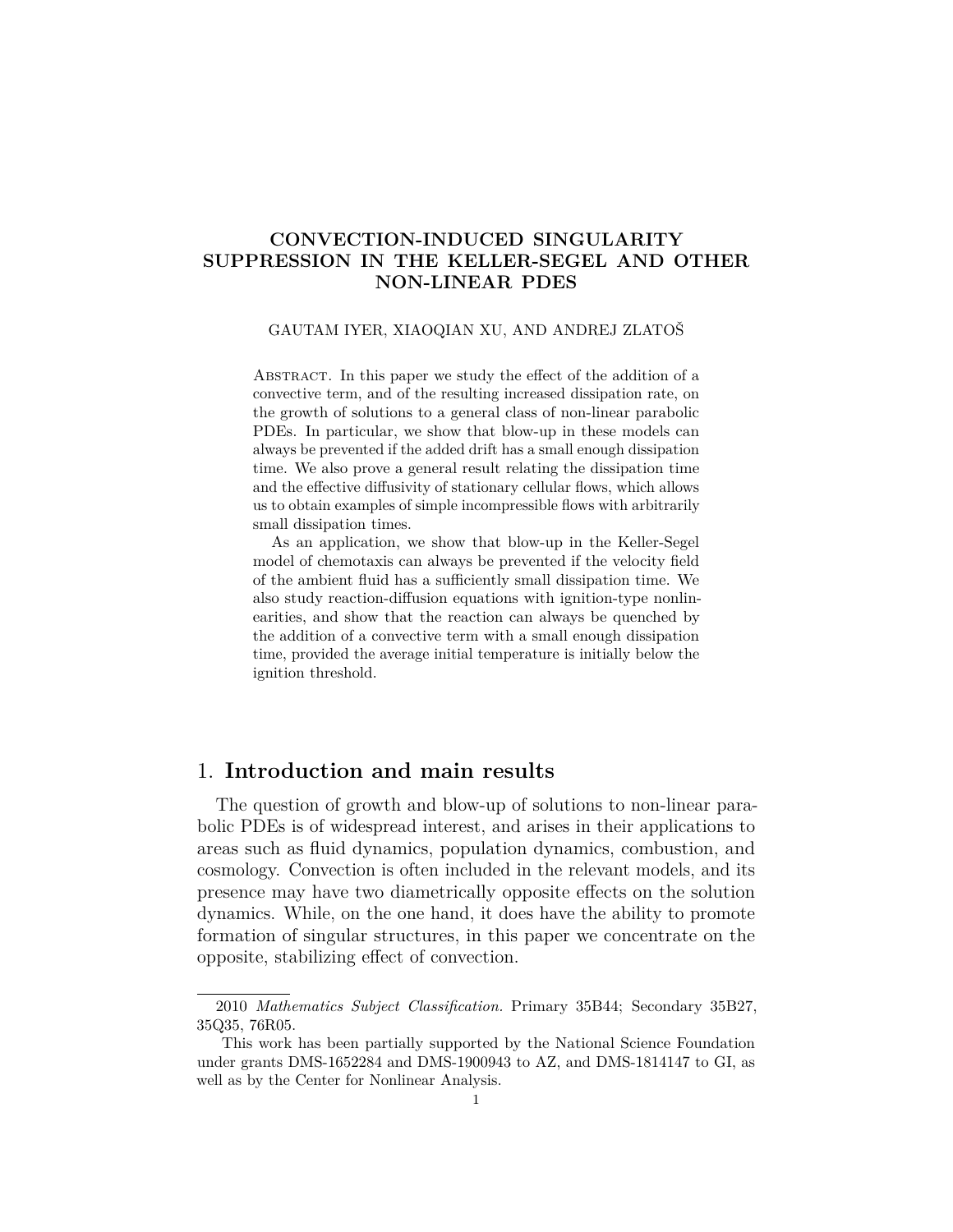## **CONVECTION-INDUCED SINGULARITY SUPPRESSION IN THE KELLER-SEGEL AND OTHER NON-LINEAR PDES**

#### GAUTAM IYER, XIAOQIAN XU, AND ANDREJ ZLATOŠ

Abstract. In this paper we study the effect of the addition of a convective term, and of the resulting increased dissipation rate, on the growth of solutions to a general class of non-linear parabolic PDEs. In particular, we show that blow-up in these models can always be prevented if the added drift has a small enough dissipation time. We also prove a general result relating the dissipation time and the effective diffusivity of stationary cellular flows, which allows us to obtain examples of simple incompressible flows with arbitrarily small dissipation times.

As an application, we show that blow-up in the Keller-Segel model of chemotaxis can always be prevented if the velocity field of the ambient fluid has a sufficiently small dissipation time. We also study reaction-diffusion equations with ignition-type nonlinearities, and show that the reaction can always be quenched by the addition of a convective term with a small enough dissipation time, provided the average initial temperature is initially below the ignition threshold.

# 1. **Introduction and main results**

The question of growth and blow-up of solutions to non-linear parabolic PDEs is of widespread interest, and arises in their applications to areas such as fluid dynamics, population dynamics, combustion, and cosmology. Convection is often included in the relevant models, and its presence may have two diametrically opposite effects on the solution dynamics. While, on the one hand, it does have the ability to promote formation of singular structures, in this paper we concentrate on the opposite, stabilizing effect of convection.

<sup>2010</sup> *Mathematics Subject Classification.* Primary 35B44; Secondary 35B27, 35Q35, 76R05.

This work has been partially supported by the National Science Foundation under grants DMS-1652284 and DMS-1900943 to AZ, and DMS-1814147 to GI, as well as by the Center for Nonlinear Analysis.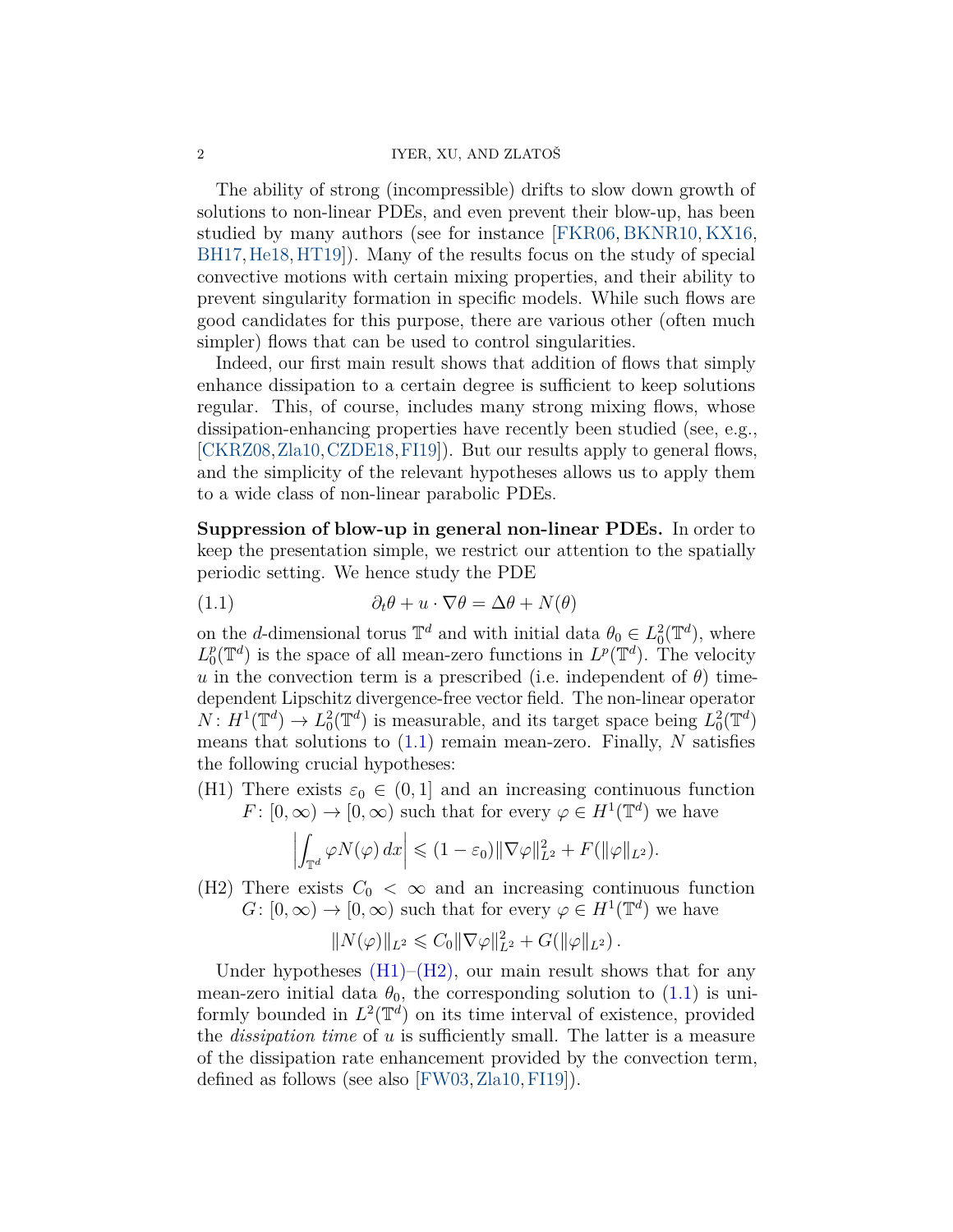#### 2 IYER, XU, AND ZLATOŠ

The ability of strong (incompressible) drifts to slow down growth of solutions to non-linear PDEs, and even prevent their blow-up, has been studied by many authors (see for instance [\[FKR06,](#page-23-0) [BKNR10,](#page-22-0) [KX16,](#page-24-0) [BH17,](#page-22-1)[He18,](#page-23-1)[HT19\]](#page-23-2)). Many of the results focus on the study of special convective motions with certain mixing properties, and their ability to prevent singularity formation in specific models. While such flows are good candidates for this purpose, there are various other (often much simpler) flows that can be used to control singularities.

Indeed, our first main result shows that addition of flows that simply enhance dissipation to a certain degree is sufficient to keep solutions regular. This, of course, includes many strong mixing flows, whose dissipation-enhancing properties have recently been studied (see, e.g., [\[CKRZ08,](#page-22-2)[Zla10,](#page-24-1)[CZDE18,](#page-22-3)[FI19\]](#page-23-3)). But our results apply to general flows, and the simplicity of the relevant hypotheses allows us to apply them to a wide class of non-linear parabolic PDEs.

**Suppression of blow-up in general non-linear PDEs.** In order to keep the presentation simple, we restrict our attention to the spatially periodic setting. We hence study the PDE

<span id="page-1-0"></span>(1.1) 
$$
\partial_t \theta + u \cdot \nabla \theta = \Delta \theta + N(\theta)
$$

on the *d*-dimensional torus  $\mathbb{T}^d$  and with initial data  $\theta_0 \in L_0^2(\mathbb{T}^d)$ , where *L p*  $L^p(\mathbb{T}^d)$  is the space of all mean-zero functions in  $L^p(\mathbb{T}^d)$ . The velocity *u* in the convection term is a prescribed (i.e. independent of  $\theta$ ) timedependent Lipschitz divergence-free vector field. The non-linear operator  $N: H^1(\mathbb{T}^d) \to L_0^2(\mathbb{T}^d)$  is measurable, and its target space being  $L_0^2(\mathbb{T}^d)$ means that solutions to [\(1.1\)](#page-1-0) remain mean-zero. Finally, *N* satisfies the following crucial hypotheses:

<span id="page-1-1"></span>(H1) There exists  $\varepsilon_0 \in (0,1]$  and an increasing continuous function  $F: [0, \infty) \to [0, \infty)$  such that for every  $\varphi \in H^1(\mathbb{T}^d)$  we have

$$
\left| \int_{\mathbb{T}^d} \varphi N(\varphi) \, dx \right| \leqslant (1 - \varepsilon_0) \|\nabla \varphi\|_{L^2}^2 + F(\|\varphi\|_{L^2}).
$$

<span id="page-1-2"></span>(H2) There exists  $C_0 < \infty$  and an increasing continuous function  $G: [0, \infty) \to [0, \infty)$  such that for every  $\varphi \in H^1(\mathbb{T}^d)$  we have

$$
||N(\varphi)||_{L^2} \leq C_0 ||\nabla \varphi||_{L^2}^2 + G(||\varphi||_{L^2}).
$$

Under hypotheses  $(H1)-(H2)$  $(H1)-(H2)$ , our main result shows that for any mean-zero initial data  $\theta_0$ , the corresponding solution to [\(1.1\)](#page-1-0) is uniformly bounded in  $L^2(\mathbb{T}^d)$  on its time interval of existence, provided the *dissipation time* of *u* is sufficiently small. The latter is a measure of the dissipation rate enhancement provided by the convection term, defined as follows (see also [\[FW03,](#page-23-4)[Zla10,](#page-24-1)[FI19\]](#page-23-3)).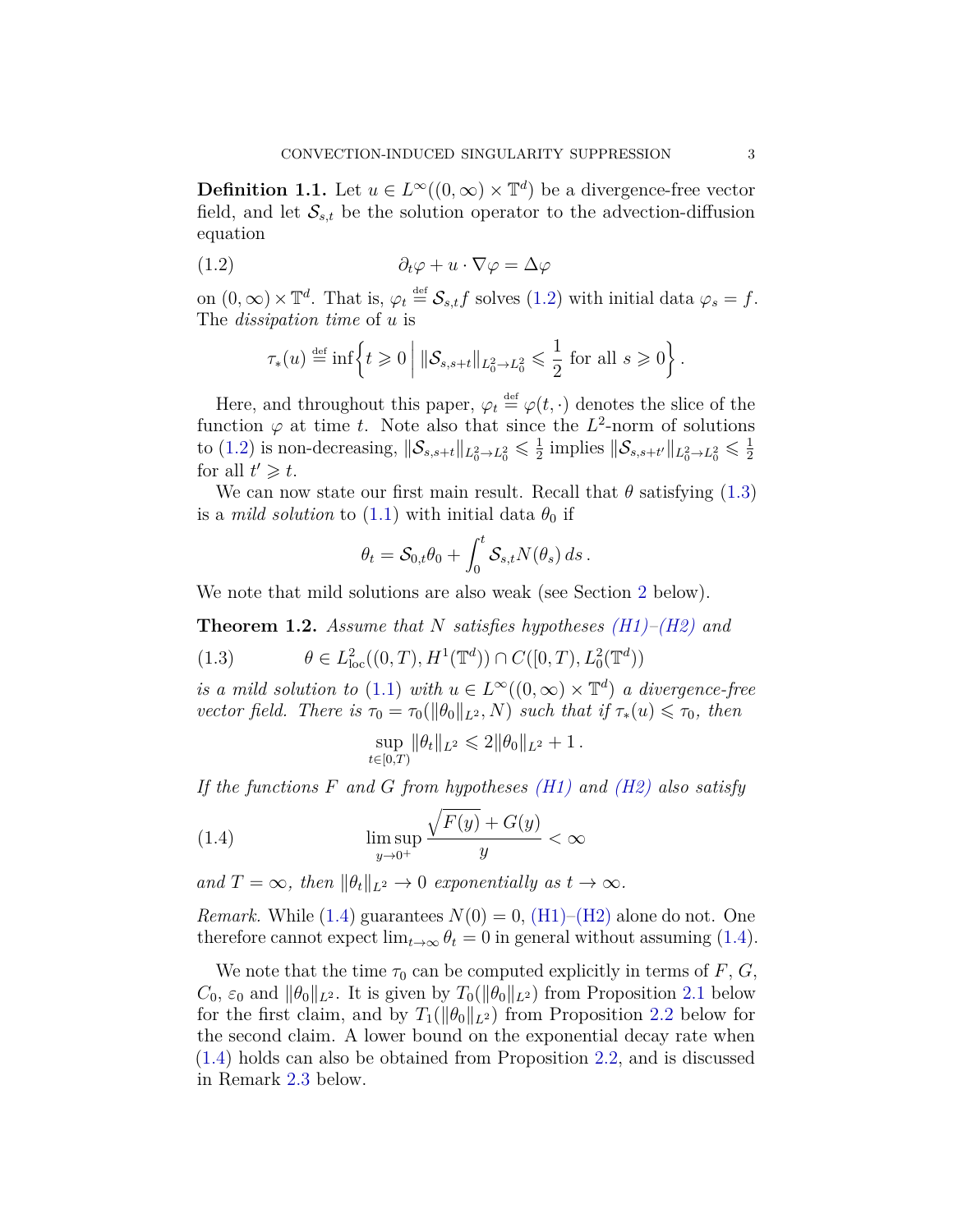**Definition 1.1.** Let  $u \in L^{\infty}((0, \infty) \times \mathbb{T}^d)$  be a divergence-free vector field, and let  $S_{s,t}$  be the solution operator to the advection-diffusion equation

$$
(1.2) \t\t \t\t \partial_t \varphi + u \cdot \nabla \varphi = \Delta \varphi
$$

on  $(0, \infty) \times \mathbb{T}^d$ . That is,  $\varphi_t \stackrel{\text{def}}{=} \mathcal{S}_{s,t} f$  solves  $(1.2)$  with initial data  $\varphi_s = f$ . The *dissipation time* of *u* is

<span id="page-2-0"></span>
$$
\tau_*(u) \stackrel{\text{def}}{=} \inf \left\{ t \geqslant 0 \; \middle\vert \; \|\mathcal{S}_{s,s+t}\|_{L^2_0 \to L^2_0} \leqslant \frac{1}{2} \text{ for all } s \geqslant 0 \right\}.
$$

Here, and throughout this paper,  $\varphi_t \stackrel{\text{def}}{=} \varphi(t, \cdot)$  denotes the slice of the function  $\varphi$  at time *t*. Note also that since the  $L^2$ -norm of solutions to [\(1.2\)](#page-2-0) is non-decreasing,  $\|\mathcal{S}_{s,s+t}\|_{L^2_0 \to L^2_0} \leq \frac{1}{2}$  $\frac{1}{2}$  implies  $\|\mathcal{S}_{s,s+t'}\|_{L^2_0\to L^2_0} \leq \frac{1}{2}$ 2 for all  $t' \geq t$ .

We can now state our first main result. Recall that  $\theta$  satisfying [\(1.3\)](#page-2-1) is a *mild solution* to [\(1.1\)](#page-1-0) with initial data  $\theta_0$  if

$$
\theta_t = \mathcal{S}_{0,t}\theta_0 + \int_0^t \mathcal{S}_{s,t} N(\theta_s) ds.
$$

We note that mild solutions are also weak (see Section [2](#page-7-0) below).

<span id="page-2-3"></span>**Theorem 1.2.** *Assume that N satisfies hypotheses [\(H1\)](#page-1-1)[–\(H2\)](#page-1-2) and*

<span id="page-2-1"></span>(1.3) 
$$
\theta \in L^2_{loc}((0,T),H^1(\mathbb{T}^d)) \cap C([0,T),L^2_0(\mathbb{T}^d))
$$

*is a mild solution to* [\(1.1\)](#page-1-0) *with*  $u \in L^{\infty}((0, \infty) \times \mathbb{T}^d)$  *a divergence-free vector field. There is*  $\tau_0 = \tau_0(\|\theta_0\|_{L^2}, N)$  *such that if*  $\tau_*(u) \leq \tau_0$ *, then* 

<span id="page-2-2"></span>
$$
\sup_{t\in[0,T)} \|\theta_t\|_{L^2} \leq 2\|\theta_0\|_{L^2} + 1.
$$

*If the functions F and G from hypotheses [\(H1\)](#page-1-1) and [\(H2\)](#page-1-2) also satisfy*

(1.4) 
$$
\limsup_{y \to 0^+} \frac{\sqrt{F(y)} + G(y)}{y} < \infty
$$

*and*  $T = \infty$ *, then*  $\|\theta_t\|_{L^2} \to 0$  *exponentially as*  $t \to \infty$ *.* 

*Remark.* While [\(1.4\)](#page-2-2) guarantees  $N(0) = 0$ , [\(H1\)](#page-1-1)[–\(H2\)](#page-1-2) alone do not. One therefore cannot expect  $\lim_{t\to\infty} \theta_t = 0$  in general without assuming [\(1.4\)](#page-2-2).

We note that the time  $\tau_0$  can be computed explicitly in terms of *F*, *G*,  $C_0$ ,  $\varepsilon_0$  and  $\|\theta_0\|_{L^2}$ . It is given by  $T_0(\|\theta_0\|_{L^2})$  from Proposition [2.1](#page-7-1) below for the first claim, and by  $T_1(||\theta_0||_{L^2})$  from Proposition [2.2](#page-7-2) below for the second claim. A lower bound on the exponential decay rate when [\(1.4\)](#page-2-2) holds can also be obtained from Proposition [2.2,](#page-7-2) and is discussed in Remark [2.3](#page-8-0) below.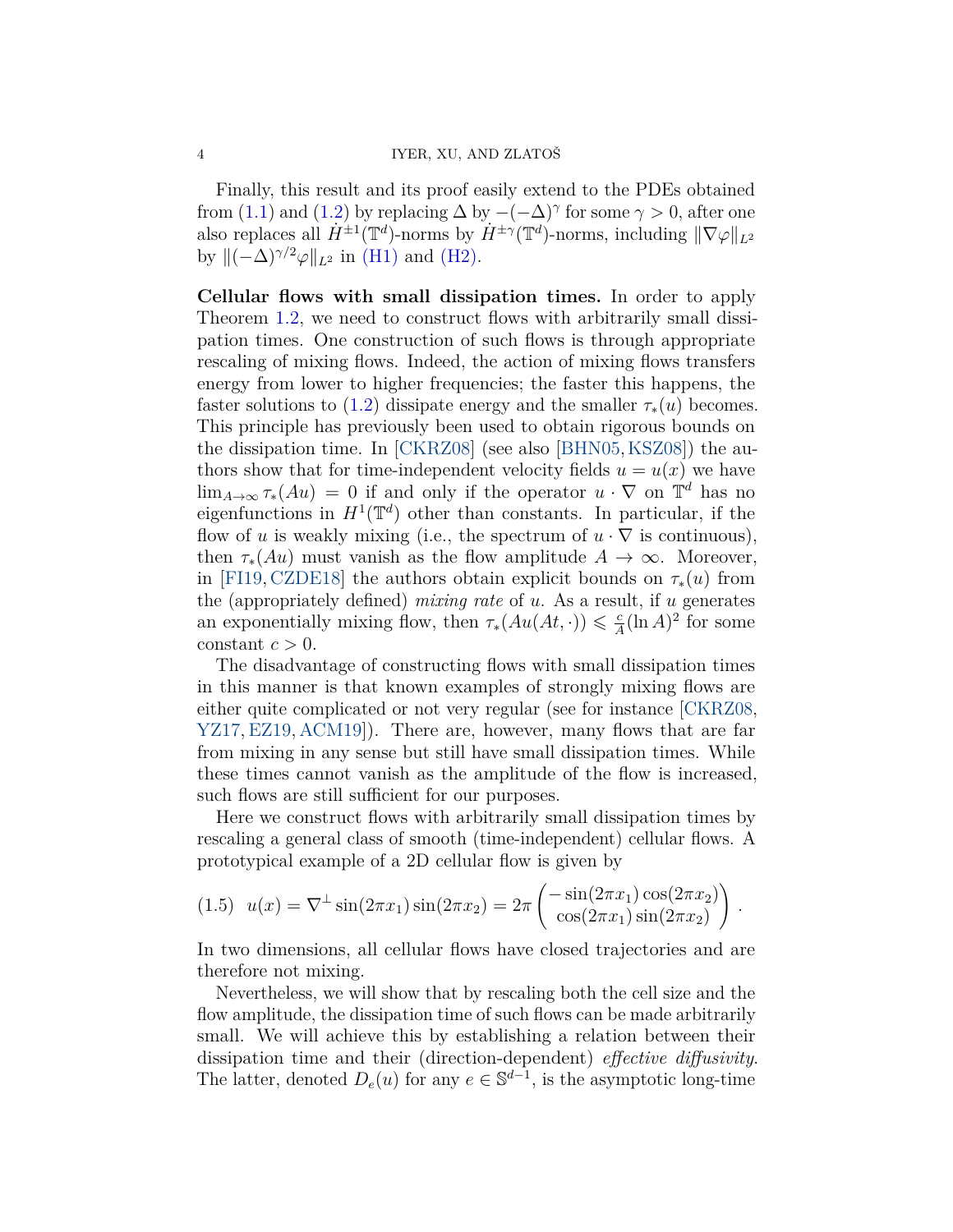Finally, this result and its proof easily extend to the PDEs obtained from [\(1.1\)](#page-1-0) and [\(1.2\)](#page-2-0) by replacing  $\Delta$  by  $-(-\Delta)^\gamma$  for some  $\gamma > 0$ , after one also replaces all  $\dot{H}^{\pm 1}(\mathbb{T}^d)$ -norms by  $\dot{H}^{\pm \gamma}(\mathbb{T}^d)$ -norms, including  $\|\nabla \varphi\|_{L^2}$ by  $\|(-\Delta)^{\gamma/2}\varphi\|_{L^2}$  in [\(H1\)](#page-1-1) and [\(H2\).](#page-1-2)

**Cellular flows with small dissipation times.** In order to apply Theorem [1.2,](#page-2-3) we need to construct flows with arbitrarily small dissipation times. One construction of such flows is through appropriate rescaling of mixing flows. Indeed, the action of mixing flows transfers energy from lower to higher frequencies; the faster this happens, the faster solutions to [\(1.2\)](#page-2-0) dissipate energy and the smaller  $\tau_*(u)$  becomes. This principle has previously been used to obtain rigorous bounds on the dissipation time. In [\[CKRZ08\]](#page-22-2) (see also [\[BHN05,](#page-22-4)[KSZ08\]](#page-24-2)) the authors show that for time-independent velocity fields  $u = u(x)$  we have  $\lim_{A\to\infty} \tau_*(Au) = 0$  if and only if the operator  $u \cdot \nabla$  on  $\mathbb{T}^d$  has no eigenfunctions in  $H^1(\mathbb{T}^d)$  other than constants. In particular, if the flow of *u* is weakly mixing (i.e., the spectrum of  $u \cdot \nabla$  is continuous), then  $\tau_*(Au)$  must vanish as the flow amplitude  $A \to \infty$ . Moreover, in [\[FI19,](#page-23-3) [CZDE18\]](#page-22-3) the authors obtain explicit bounds on  $\tau_*(u)$  from the (appropriately defined) *mixing rate* of *u*. As a result, if *u* generates an exponentially mixing flow, then  $\tau_*(Au(At, \cdot)) \leq \frac{c}{4}$  $\frac{c}{A}(\ln A)^2$  for some constant  $c > 0$ .

The disadvantage of constructing flows with small dissipation times in this manner is that known examples of strongly mixing flows are either quite complicated or not very regular (see for instance [\[CKRZ08,](#page-22-2) [YZ17,](#page-24-3)[EZ19,](#page-23-5) [ACM19\]](#page-22-5)). There are, however, many flows that are far from mixing in any sense but still have small dissipation times. While these times cannot vanish as the amplitude of the flow is increased, such flows are still sufficient for our purposes.

Here we construct flows with arbitrarily small dissipation times by rescaling a general class of smooth (time-independent) cellular flows. A prototypical example of a 2D cellular flow is given by

<span id="page-3-0"></span>
$$
(1.5) \ \ u(x) = \nabla^{\perp} \sin(2\pi x_1) \sin(2\pi x_2) = 2\pi \left( \frac{-\sin(2\pi x_1)\cos(2\pi x_2)}{\cos(2\pi x_1)\sin(2\pi x_2)} \right).
$$

In two dimensions, all cellular flows have closed trajectories and are therefore not mixing.

Nevertheless, we will show that by rescaling both the cell size and the flow amplitude, the dissipation time of such flows can be made arbitrarily small. We will achieve this by establishing a relation between their dissipation time and their (direction-dependent) *effective diffusivity*. The latter, denoted  $D_e(u)$  for any  $e \in \mathbb{S}^{d-1}$ , is the asymptotic long-time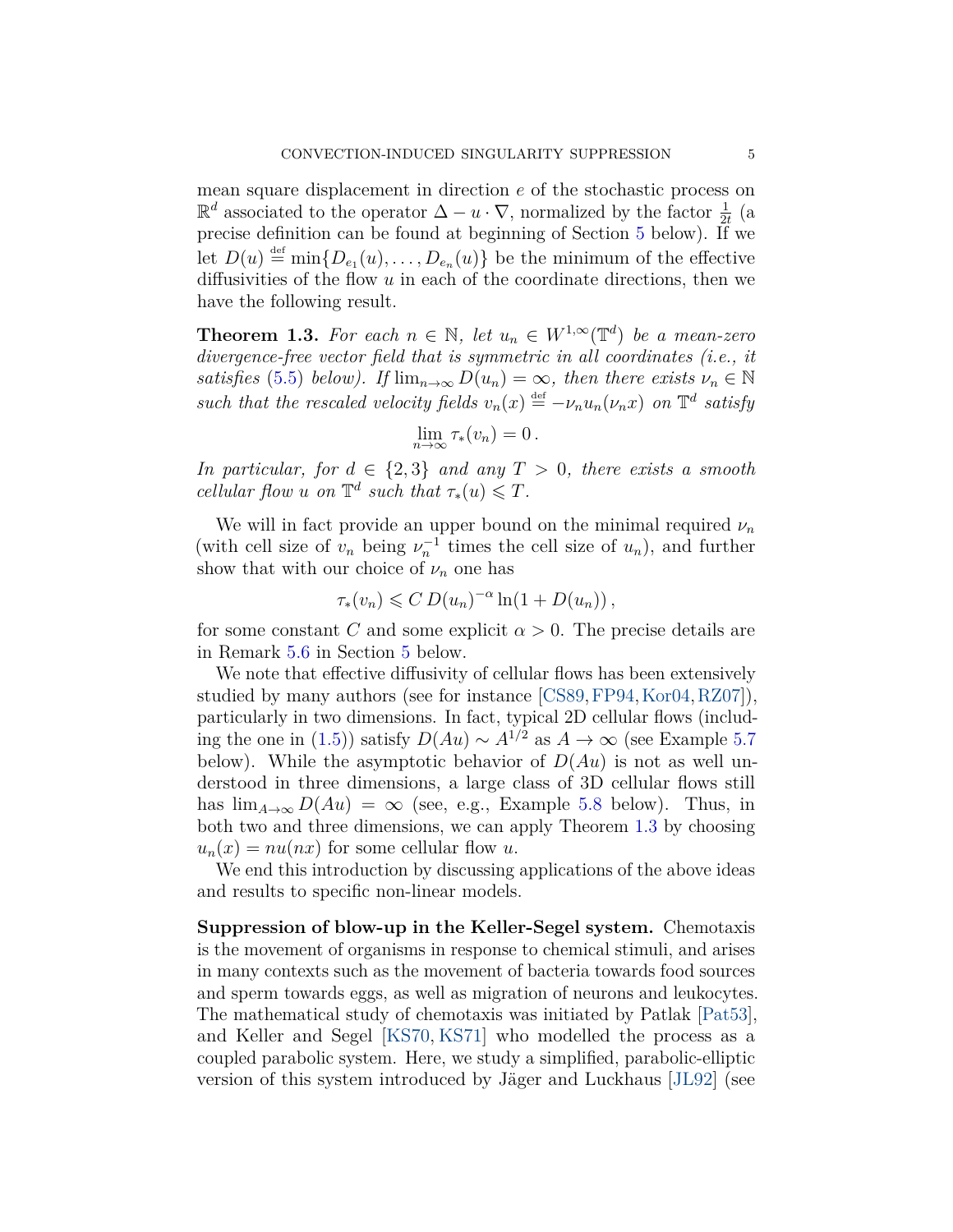mean square displacement in direction *e* of the stochastic process on  $\mathbb{R}^d$  associated to the operator  $\Delta - u \cdot \nabla$ , normalized by the factor  $\frac{1}{2t}$  (a precise definition can be found at beginning of Section [5](#page-16-0) below). If we let  $D(u) \stackrel{\text{def}}{=} \min\{D_{e_1}(u), \ldots, D_{e_n}(u)\}\$ be the minimum of the effective diffusivities of the flow *u* in each of the coordinate directions, then we have the following result.

<span id="page-4-0"></span>**Theorem 1.3.** For each  $n \in \mathbb{N}$ , let  $u_n \in W^{1,\infty}(\mathbb{T}^d)$  be a mean-zero *divergence-free vector field that is symmetric in all coordinates (i.e., it satisfies* [\(5.5\)](#page-19-0) *below).* If  $\lim_{n\to\infty} D(u_n) = \infty$ , then there exists  $\nu_n \in \mathbb{N}$ such that the rescaled velocity fields  $v_n(x) \stackrel{\text{def}}{=} -v_n u_n(\nu_n x)$  on  $\mathbb{T}^d$  satisfy

$$
\lim_{n\to\infty}\tau_*(v_n)=0.
$$

*In particular, for*  $d \in \{2,3\}$  *and any*  $T > 0$ *, there exists a smooth cellular flow u on*  $\mathbb{T}^d$  *such that*  $\tau_*(u) \leq T$ *.* 

We will in fact provide an upper bound on the minimal required  $\nu_n$ (with cell size of  $v_n$  being  $v_n^{-1}$  times the cell size of  $u_n$ ), and further show that with our choice of  $\nu_n$  one has

$$
\tau_*(v_n) \leqslant C D(u_n)^{-\alpha} \ln(1 + D(u_n)),
$$

for some constant *C* and some explicit  $\alpha > 0$ . The precise details are in Remark [5.6](#page-21-0) in Section [5](#page-16-0) below.

We note that effective diffusivity of cellular flows has been extensively studied by many authors (see for instance [\[CS89,](#page-22-6)[FP94,](#page-23-6)[Kor04,](#page-23-7)[RZ07\]](#page-24-4)), particularly in two dimensions. In fact, typical 2D cellular flows (includ-ing the one in [\(1.5\)](#page-3-0)) satisfy  $D(Au) \sim A^{1/2}$  as  $A \to \infty$  (see Example [5.7](#page-22-7)) below). While the asymptotic behavior of  $D(Au)$  is not as well understood in three dimensions, a large class of 3D cellular flows still has  $\lim_{A\to\infty} D(Au) = \infty$  (see, e.g., Example [5.8](#page-22-8) below). Thus, in both two and three dimensions, we can apply Theorem [1.3](#page-4-0) by choosing  $u_n(x) = nu(nx)$  for some cellular flow *u*.

We end this introduction by discussing applications of the above ideas and results to specific non-linear models.

**Suppression of blow-up in the Keller-Segel system.** Chemotaxis is the movement of organisms in response to chemical stimuli, and arises in many contexts such as the movement of bacteria towards food sources and sperm towards eggs, as well as migration of neurons and leukocytes. The mathematical study of chemotaxis was initiated by Patlak [\[Pat53\]](#page-24-5), and Keller and Segel [\[KS70,](#page-23-8) [KS71\]](#page-23-9) who modelled the process as a coupled parabolic system. Here, we study a simplified, parabolic-elliptic version of this system introduced by Jäger and Luckhaus [\[JL92\]](#page-23-10) (see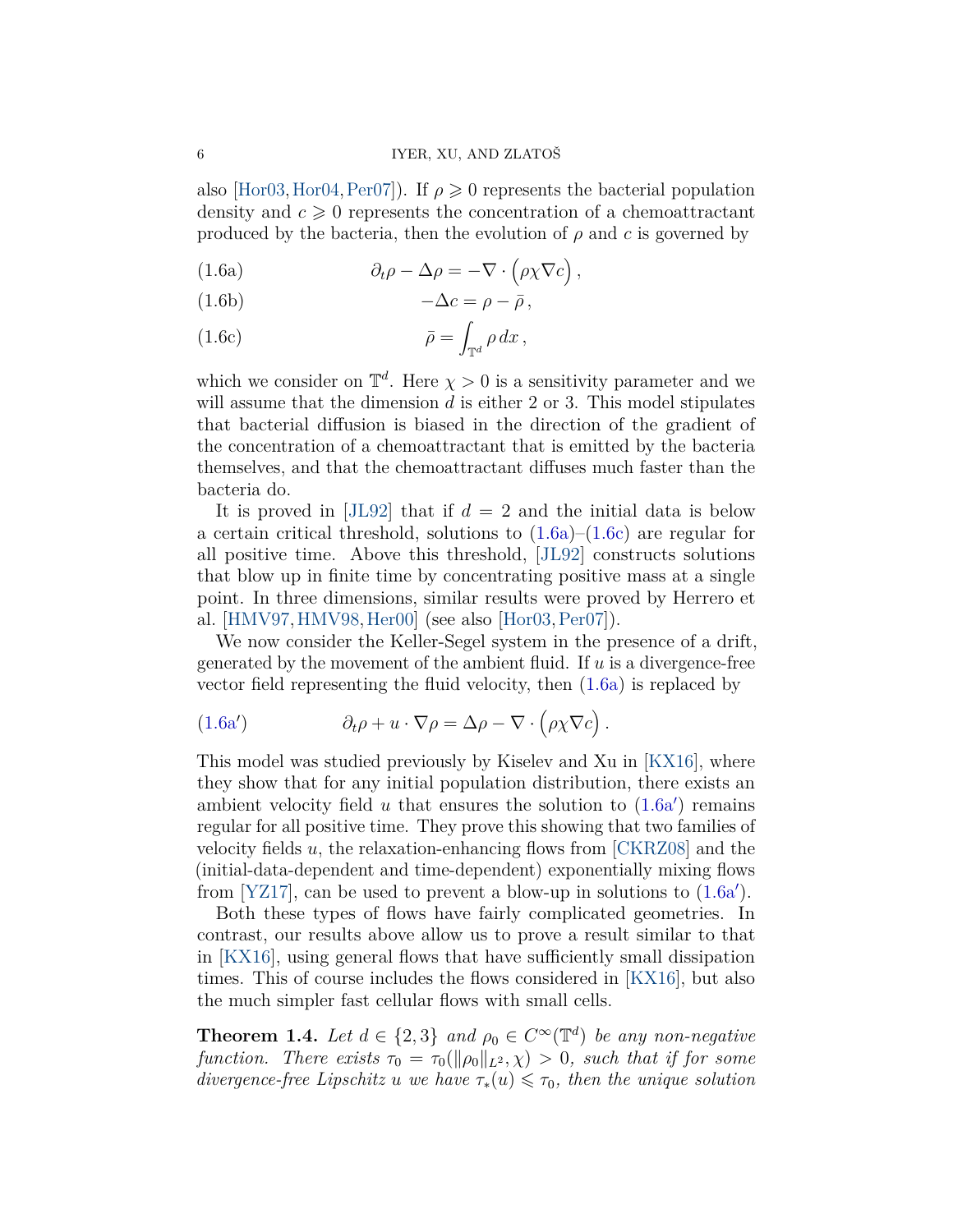also [\[Hor03,](#page-23-11) [Hor04,](#page-23-12) [Per07\]](#page-24-6)). If  $\rho \geq 0$  represents the bacterial population density and  $c \geq 0$  represents the concentration of a chemoattractant produced by the bacteria, then the evolution of  $\rho$  and  $c$  is governed by

<span id="page-5-0"></span>(1.6a) 
$$
\partial_t \rho - \Delta \rho = -\nabla \cdot (\rho \chi \nabla c),
$$

<span id="page-5-3"></span>
$$
(1.6b) \t -\Delta c = \rho - \bar{\rho},
$$

<span id="page-5-1"></span>(1.6c) 
$$
\bar{\rho} = \int_{\mathbb{T}^d} \rho \, dx \,,
$$

which we consider on  $\mathbb{T}^d$ . Here  $\chi > 0$  is a sensitivity parameter and we will assume that the dimension *d* is either 2 or 3. This model stipulates that bacterial diffusion is biased in the direction of the gradient of the concentration of a chemoattractant that is emitted by the bacteria themselves, and that the chemoattractant diffuses much faster than the bacteria do.

It is proved in [\[JL92\]](#page-23-10) that if  $d = 2$  and the initial data is below a certain critical threshold, solutions to  $(1.6a)$ – $(1.6c)$  are regular for all positive time. Above this threshold, [\[JL92\]](#page-23-10) constructs solutions that blow up in finite time by concentrating positive mass at a single point. In three dimensions, similar results were proved by Herrero et al. [\[HMV97,](#page-23-13)[HMV98,](#page-23-14)[Her00\]](#page-23-15) (see also [\[Hor03,](#page-23-11)[Per07\]](#page-24-6)).

We now consider the Keller-Segel system in the presence of a drift, generated by the movement of the ambient fluid. If *u* is a divergence-free vector field representing the fluid velocity, then [\(1.6a\)](#page-5-0) is replaced by

<span id="page-5-2"></span>(1.6a') 
$$
\partial_t \rho + u \cdot \nabla \rho = \Delta \rho - \nabla \cdot (\rho \chi \nabla c).
$$

This model was studied previously by Kiselev and Xu in [\[KX16\]](#page-24-0), where they show that for any initial population distribution, there exists an ambient velocity field  $u$  that ensures the solution to  $(1.6a)$  $(1.6a)$  remains regular for all positive time. They prove this showing that two families of velocity fields *u*, the relaxation-enhancing flows from [\[CKRZ08\]](#page-22-2) and the (initial-data-dependent and time-dependent) exponentially mixing flows from [\[YZ17\]](#page-24-3), can be used to prevent a blow-up in solutions to  $(1.6a')$  $(1.6a')$ .

Both these types of flows have fairly complicated geometries. In contrast, our results above allow us to prove a result similar to that in [\[KX16\]](#page-24-0), using general flows that have sufficiently small dissipation times. This of course includes the flows considered in [\[KX16\]](#page-24-0), but also the much simpler fast cellular flows with small cells.

<span id="page-5-4"></span>**Theorem 1.4.** *Let*  $d \in \{2,3\}$  *and*  $\rho_0 \in C^\infty(\mathbb{T}^d)$  *be any non-negative function. There exists*  $\tau_0 = \tau_0(\|\rho_0\|_{L^2}, \chi) > 0$ , such that if for some *divergence-free Lipschitz u we have*  $\tau_*(u) \leq \tau_0$ *, then the unique solution*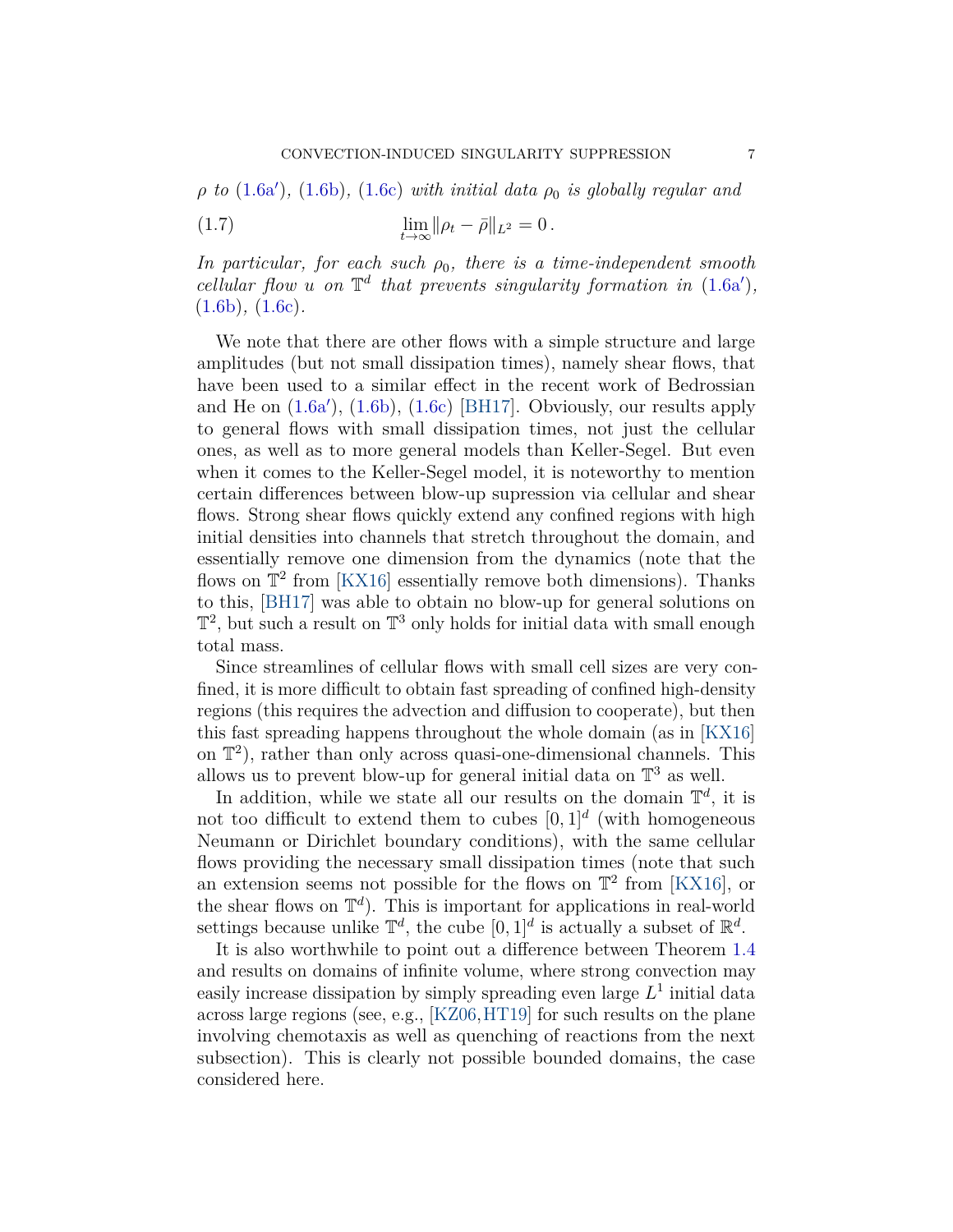$\rho$  *to* [\(1.6a](#page-5-2)'), [\(1.6b\)](#page-5-3), [\(1.6c\)](#page-5-1) *with initial data*  $\rho_0$  *is globally regular and* 

<span id="page-6-0"></span>(1.7) 
$$
\lim_{t \to \infty} ||\rho_t - \bar{\rho}||_{L^2} = 0.
$$

*In particular, for each such*  $\rho_0$ *, there is a time-independent smooth cellular flow u on*  $\mathbb{T}^d$  that prevents singularity formation in [\(1.6a](#page-5-2)'), [\(1.6b\)](#page-5-3)*,* [\(1.6c\)](#page-5-1)*.*

We note that there are other flows with a simple structure and large amplitudes (but not small dissipation times), namely shear flows, that have been used to a similar effect in the recent work of Bedrossian and He on  $(1.6a')$  $(1.6a')$ ,  $(1.6b)$ ,  $(1.6c)$  [\[BH17\]](#page-22-1). Obviously, our results apply to general flows with small dissipation times, not just the cellular ones, as well as to more general models than Keller-Segel. But even when it comes to the Keller-Segel model, it is noteworthy to mention certain differences between blow-up supression via cellular and shear flows. Strong shear flows quickly extend any confined regions with high initial densities into channels that stretch throughout the domain, and essentially remove one dimension from the dynamics (note that the flows on  $\mathbb{T}^2$  from [\[KX16\]](#page-24-0) essentially remove both dimensions). Thanks to this, [\[BH17\]](#page-22-1) was able to obtain no blow-up for general solutions on  $\mathbb{T}^2$ , but such a result on  $\mathbb{T}^3$  only holds for initial data with small enough total mass.

Since streamlines of cellular flows with small cell sizes are very confined, it is more difficult to obtain fast spreading of confined high-density regions (this requires the advection and diffusion to cooperate), but then this fast spreading happens throughout the whole domain (as in [\[KX16\]](#page-24-0) on T 2 ), rather than only across quasi-one-dimensional channels. This allows us to prevent blow-up for general initial data on  $\mathbb{T}^3$  as well.

In addition, while we state all our results on the domain  $\mathbb{T}^d$ , it is not too difficult to extend them to cubes  $[0,1]^d$  (with homogeneous Neumann or Dirichlet boundary conditions), with the same cellular flows providing the necessary small dissipation times (note that such an extension seems not possible for the flows on  $\mathbb{T}^2$  from [\[KX16\]](#page-24-0), or the shear flows on  $\mathbb{T}^d$ ). This is important for applications in real-world settings because unlike  $\mathbb{T}^d$ , the cube  $[0,1]^d$  is actually a subset of  $\mathbb{R}^d$ .

It is also worthwhile to point out a difference between Theorem [1.4](#page-5-4) and results on domains of infinite volume, where strong convection may easily increase dissipation by simply spreading even large  $L^1$  initial data across large regions (see, e.g., [\[KZ06,](#page-24-7)[HT19\]](#page-23-2) for such results on the plane involving chemotaxis as well as quenching of reactions from the next subsection). This is clearly not possible bounded domains, the case considered here.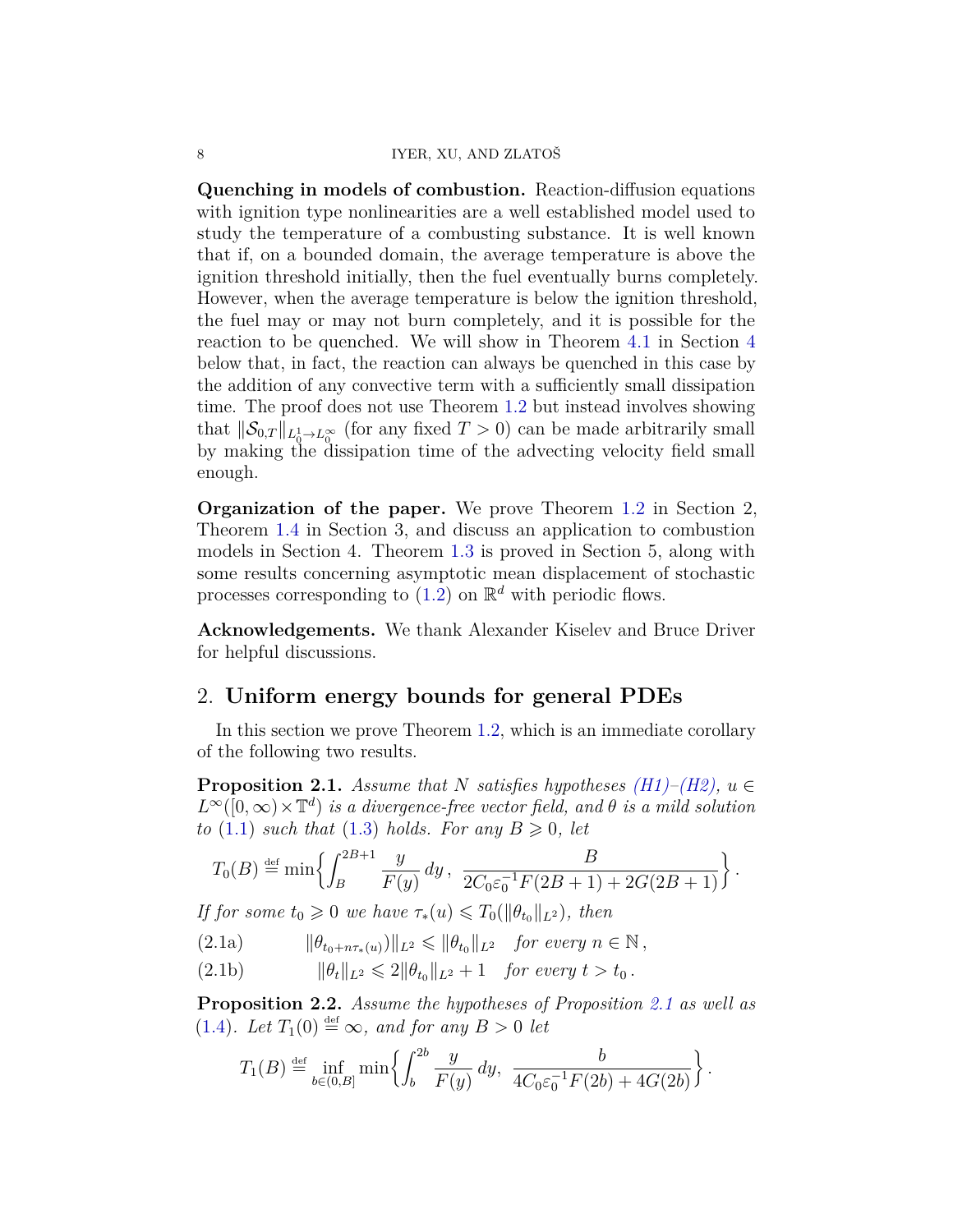#### 8 IYER, XU, AND ZLATOŠ

**Quenching in models of combustion.** Reaction-diffusion equations with ignition type nonlinearities are a well established model used to study the temperature of a combusting substance. It is well known that if, on a bounded domain, the average temperature is above the ignition threshold initially, then the fuel eventually burns completely. However, when the average temperature is below the ignition threshold, the fuel may or may not burn completely, and it is possible for the reaction to be quenched. We will show in Theorem [4.1](#page-14-0) in Section [4](#page-14-1) below that, in fact, the reaction can always be quenched in this case by the addition of any convective term with a sufficiently small dissipation time. The proof does not use Theorem [1.2](#page-2-3) but instead involves showing that  $\|\mathcal{S}_{0,T}\|_{L^1_0 \to L^\infty_0}$  (for any fixed  $T > 0$ ) can be made arbitrarily small by making the dissipation time of the advecting velocity field small enough.

**Organization of the paper.** We prove Theorem [1.2](#page-2-3) in Section 2, Theorem [1.4](#page-5-4) in Section 3, and discuss an application to combustion models in Section 4. Theorem [1.3](#page-4-0) is proved in Section 5, along with some results concerning asymptotic mean displacement of stochastic processes corresponding to  $(1.2)$  on  $\mathbb{R}^d$  with periodic flows.

**Acknowledgements.** We thank Alexander Kiselev and Bruce Driver for helpful discussions.

## <span id="page-7-0"></span>2. **Uniform energy bounds for general PDEs**

In this section we prove Theorem [1.2,](#page-2-3) which is an immediate corollary of the following two results.

<span id="page-7-1"></span>**Proposition 2.1.** *Assume that N satisfies hypotheses*  $(H1)–(H2)$  $(H1)–(H2)$ ,  $u \in$  $L^{\infty}([0,\infty) \times \mathbb{T}^d)$  *is a divergence-free vector field, and*  $\theta$  *is a mild solution to* [\(1.1\)](#page-1-0) *such that* [\(1.3\)](#page-2-1) *holds. For any*  $B \ge 0$ , let

$$
T_0(B) \stackrel{\text{def}}{=} \min \left\{ \int_B^{2B+1} \frac{y}{F(y)} dy, \ \frac{B}{2C_0 \varepsilon_0^{-1} F(2B+1) + 2G(2B+1)} \right\}.
$$

*If for some*  $t_0 \geq 0$  *we have*  $\tau_*(u) \leq T_0(\|\theta_{t_0}\|_{L^2})$ , then

 $\|\theta_{t_0+n\tau_*(u)}\|_{L^2} \le \|\theta_{t_0}\|_{L^2}$  *for every*  $n \in \mathbb{N}$ ,

(2.1b) 
$$
\|\theta_t\|_{L^2} \leq 2\|\theta_{t_0}\|_{L^2} + 1 \quad \text{for every } t > t_0.
$$

<span id="page-7-2"></span>**Proposition 2.2.** *Assume the hypotheses of Proposition [2.1](#page-7-1) as well as*  $(1.4)$ *. Let*  $T_1(0) \stackrel{\text{def}}{=} \infty$ *, and for any*  $B > 0$  *let* 

$$
T_1(B) \stackrel{\text{def}}{=} \inf_{b \in (0,B]} \min \left\{ \int_b^{2b} \frac{y}{F(y)} dy, \frac{b}{4C_0 \varepsilon_0^{-1} F(2b) + 4G(2b)} \right\}.
$$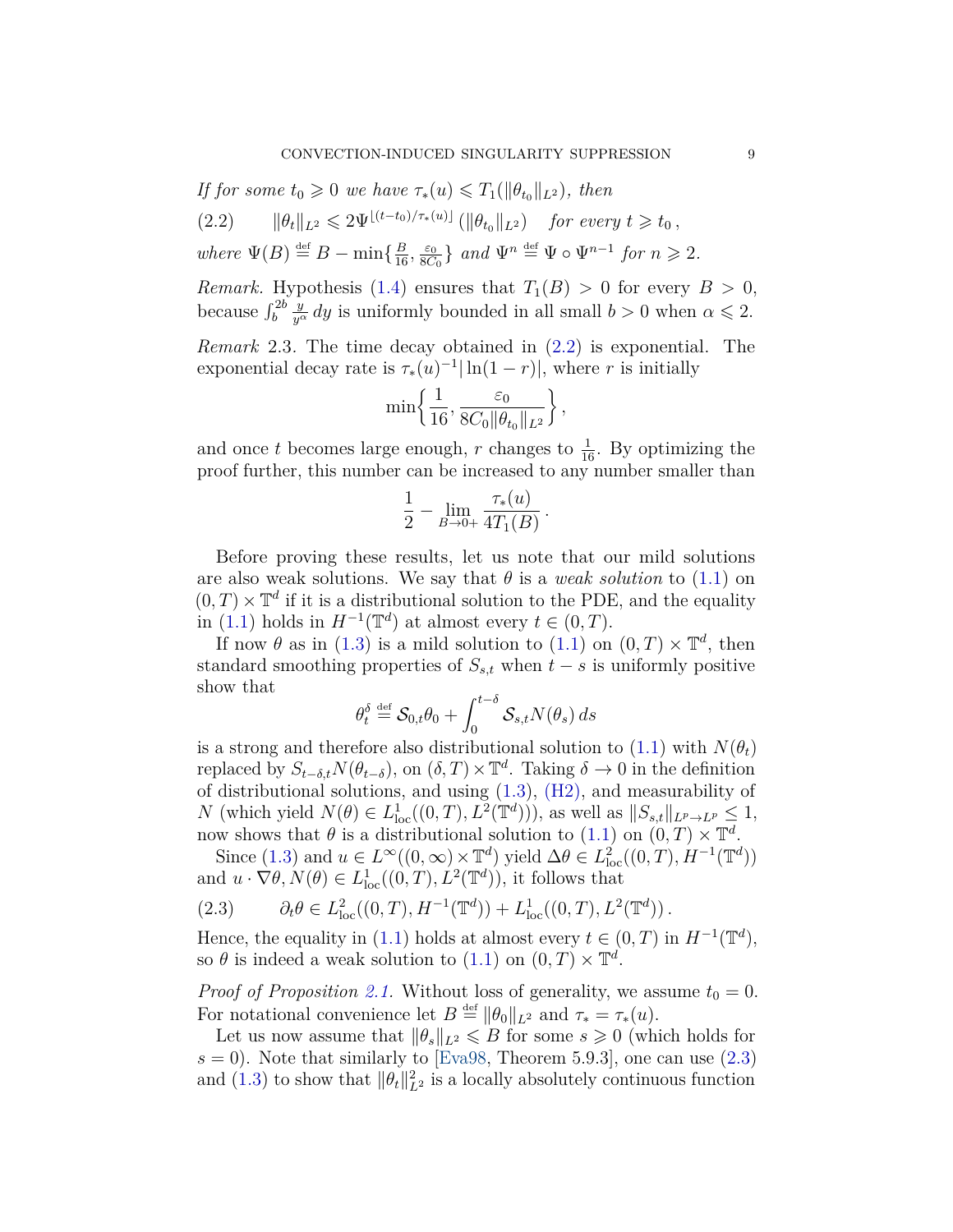*If for some*  $t_0 \geq 0$  *we have*  $\tau_*(u) \leq T_1(\|\theta_{t_0}\|_{L^2})$ *, then* 

<span id="page-8-1"></span>
$$
(2.2) \t ||\theta_t||_{L^2} \leq 2\Psi^{\lfloor (t-t_0)/\tau_*(u) \rfloor} (\|\theta_{t_0}\|_{L^2}) \t for every t \geq t_0,
$$

*where*  $\Psi(B) \stackrel{\text{def}}{=} B - \min\{\frac{B}{16}, \frac{\varepsilon_0}{8C}\}$  $\frac{\varepsilon_0}{8C_0}$  *and*  $\Psi^n \stackrel{\text{def}}{=} \Psi \circ \Psi^{n-1}$  *for*  $n \geqslant 2$ *.* 

*Remark.* Hypothesis [\(1.4\)](#page-2-2) ensures that  $T_1(B) > 0$  for every  $B > 0$ , because  $\int_b^{2b}$ *y*<sup>*a*</sup> *dy* is uniformly bounded in all small  $b > 0$  when  $\alpha \le 2$ .

<span id="page-8-0"></span>*Remark* 2.3*.* The time decay obtained in [\(2.2\)](#page-8-1) is exponential. The exponential decay rate is  $\tau_*(u)^{-1}|\ln(1-r)|$ , where *r* is initially

$$
\min\left\{\frac{1}{16}, \frac{\varepsilon_0}{8C_0 \|\theta_{t_0}\|_{L^2}}\right\},\,
$$

and once *t* becomes large enough, *r* changes to  $\frac{1}{16}$ . By optimizing the proof further, this number can be increased to any number smaller than

$$
\frac{1}{2} - \lim_{B \to 0+} \frac{\tau_*(u)}{4T_1(B)}.
$$

Before proving these results, let us note that our mild solutions are also weak solutions. We say that  $\theta$  is a *weak solution* to [\(1.1\)](#page-1-0) on  $(0,T) \times \mathbb{T}^d$  if it is a distributional solution to the PDE, and the equality in [\(1.1\)](#page-1-0) holds in  $H^{-1}(\mathbb{T}^d)$  at almost every  $t \in (0, T)$ .

If now  $\theta$  as in [\(1.3\)](#page-2-1) is a mild solution to [\(1.1\)](#page-1-0) on  $(0, T) \times \mathbb{T}^d$ , then standard smoothing properties of  $S_{s,t}$  when  $t - s$  is uniformly positive show that

$$
\theta_t^{\delta} \stackrel{\text{def}}{=} \mathcal{S}_{0,t}\theta_0 + \int_0^{t-\delta} \mathcal{S}_{s,t} N(\theta_s) \, ds
$$

is a strong and therefore also distributional solution to  $(1.1)$  with  $N(\theta_t)$ replaced by  $S_{t-\delta,t}N(\theta_{t-\delta})$ , on  $(\delta,T)\times\mathbb{T}^d$ . Taking  $\delta\to 0$  in the definition of distributional solutions, and using [\(1.3\)](#page-2-1), [\(H2\),](#page-1-2) and measurability of *N* (which yield  $N(\theta) \in L^1_{loc}((0,T), L^2(\mathbb{T}^d)))$ , as well as  $||S_{s,t}||_{L^p \to L^p} \leq 1$ , now shows that  $\theta$  is a distributional solution to [\(1.1\)](#page-1-0) on  $(0,T) \times \mathbb{T}^d$ .

Since [\(1.3\)](#page-2-1) and  $u \in L^{\infty}((0, \infty) \times \mathbb{T}^d)$  yield  $\Delta \theta \in L^2_{\text{loc}}((0, T), H^{-1}(\mathbb{T}^d))$ and  $u \cdot \nabla \theta$ ,  $N(\theta) \in L^1_{loc}((0,T), L^2(\mathbb{T}^d))$ , it follows that

<span id="page-8-2"></span>(2.3) 
$$
\partial_t \theta \in L^2_{loc}((0,T),H^{-1}(\mathbb{T}^d)) + L^1_{loc}((0,T),L^2(\mathbb{T}^d)).
$$

Hence, the equality in [\(1.1\)](#page-1-0) holds at almost every  $t \in (0, T)$  in  $H^{-1}(\mathbb{T}^d)$ , so  $\theta$  is indeed a weak solution to [\(1.1\)](#page-1-0) on  $(0, T) \times \mathbb{T}^d$ .

*Proof of Proposition [2.1.](#page-7-1)* Without loss of generality, we assume  $t_0 = 0$ . For notational convenience let  $B \stackrel{\text{def}}{=} ||\theta_0||_{L^2}$  and  $\tau_* = \tau_*(u)$ .

Let us now assume that  $\|\theta_s\|_{L^2} \le B$  for some  $s \ge 0$  (which holds for  $s = 0$ ). Note that similarly to [\[Eva98,](#page-22-9) Theorem 5.9.3], one can use  $(2.3)$ and [\(1.3\)](#page-2-1) to show that  $\|\theta_t\|_{L^2}^2$  is a locally absolutely continuous function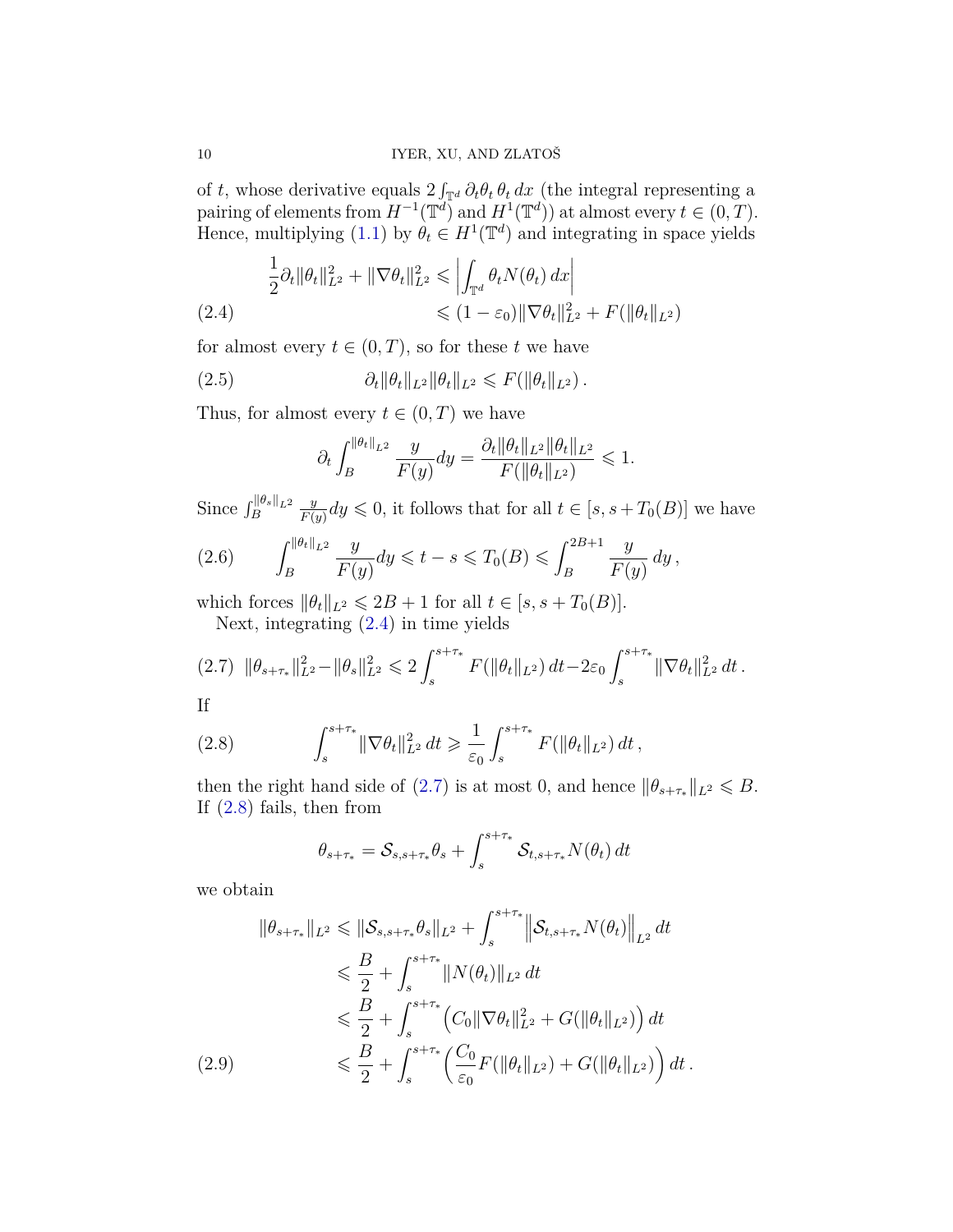of *t*, whose derivative equals  $2 \int_{\mathbb{T}^d} \partial_t \theta_t \, d\mathbf{x}$  (the integral representing a pairing of elements from  $H^{-1}(\mathbb{T}^d)$  and  $H^1(\mathbb{T}^d)$  at almost every  $t \in (0, T)$ . Hence, multiplying [\(1.1\)](#page-1-0) by  $\theta_t \in H^1(\mathbb{T}^d)$  and integrating in space yields

<span id="page-9-0"></span>
$$
\frac{1}{2}\partial_t \|\theta_t\|_{L^2}^2 + \|\nabla \theta_t\|_{L^2}^2 \le \left| \int_{\mathbb{T}^d} \theta_t N(\theta_t) \, dx \right|
$$
\n
$$
\le (1 - \varepsilon_0) \|\nabla \theta_t\|_{L^2}^2 + F(\|\theta_t\|_{L^2})
$$

for almost every  $t \in (0, T)$ , so for these  $t$  we have

(2.5) 
$$
\partial_t \|\theta_t\|_{L^2} \|\theta_t\|_{L^2} \leqslant F(\|\theta_t\|_{L^2}).
$$

Thus, for almost every  $t \in (0, T)$  we have

<span id="page-9-3"></span>
$$
\partial_t \int_B^{\|\theta_t\|_{L^2}} \frac{y}{F(y)} dy = \frac{\partial_t \|\theta_t\|_{L^2} \|\theta_t\|_{L^2}}{F(\|\theta_t\|_{L^2})} \leq 1.
$$

Since  $\int_B^{\|\theta_s\|_{L^2}}$ *y*  $\frac{y}{F(y)}dy \leq 0$ , it follows that for all  $t \in [s, s + T_0(B)]$  we have

(2.6) 
$$
\int_{B}^{\|\theta_t\|_{L^2}} \frac{y}{F(y)} dy \leq t - s \leq T_0(B) \leq \int_{B}^{2B+1} \frac{y}{F(y)} dy,
$$

which forces  $\|\theta_t\|_{L^2} \le 2B + 1$  for all  $t \in [s, s + T_0(B)].$ 

<span id="page-9-1"></span>Next, integrating [\(2.4\)](#page-9-0) in time yields

$$
(2.7) \|\theta_{s+\tau_*}\|_{L^2}^2 - \|\theta_s\|_{L^2}^2 \leq 2 \int_s^{s+\tau_*} F(\|\theta_t\|_{L^2}) dt - 2\varepsilon_0 \int_s^{s+\tau_*} \|\nabla \theta_t\|_{L^2}^2 dt.
$$

If

(2.8) 
$$
\int_s^{s+\tau_*} \|\nabla \theta_t\|_{L^2}^2 dt \geq \frac{1}{\varepsilon_0} \int_s^{s+\tau_*} F(\|\theta_t\|_{L^2}) dt,
$$

then the right hand side of [\(2.7\)](#page-9-1) is at most 0, and hence  $\|\theta_{s+\tau_*}\|_{L^2} \le B$ . If [\(2.8\)](#page-9-2) fails, then from

<span id="page-9-2"></span>
$$
\theta_{s+\tau_*} = \mathcal{S}_{s,s+\tau_*}\theta_s + \int_s^{s+\tau_*} \mathcal{S}_{t,s+\tau_*} N(\theta_t) dt
$$

we obtain

<span id="page-9-4"></span>
$$
\|\theta_{s+\tau_{*}}\|_{L^{2}} \leq \|\mathcal{S}_{s,s+\tau_{*}}\theta_{s}\|_{L^{2}} + \int_{s}^{s+\tau_{*}} \|\mathcal{S}_{t,s+\tau_{*}}N(\theta_{t})\|_{L^{2}} dt
$$
  
\n
$$
\leq \frac{B}{2} + \int_{s}^{s+\tau_{*}} \|N(\theta_{t})\|_{L^{2}} dt
$$
  
\n
$$
\leq \frac{B}{2} + \int_{s}^{s+\tau_{*}} \left(C_{0} \|\nabla \theta_{t}\|_{L^{2}}^{2} + G(\|\theta_{t}\|_{L^{2}})\right) dt
$$
  
\n(2.9)  
\n
$$
\leq \frac{B}{2} + \int_{s}^{s+\tau_{*}} \left(\frac{C_{0}}{\varepsilon_{0}} F(\|\theta_{t}\|_{L^{2}}) + G(\|\theta_{t}\|_{L^{2}})\right) dt.
$$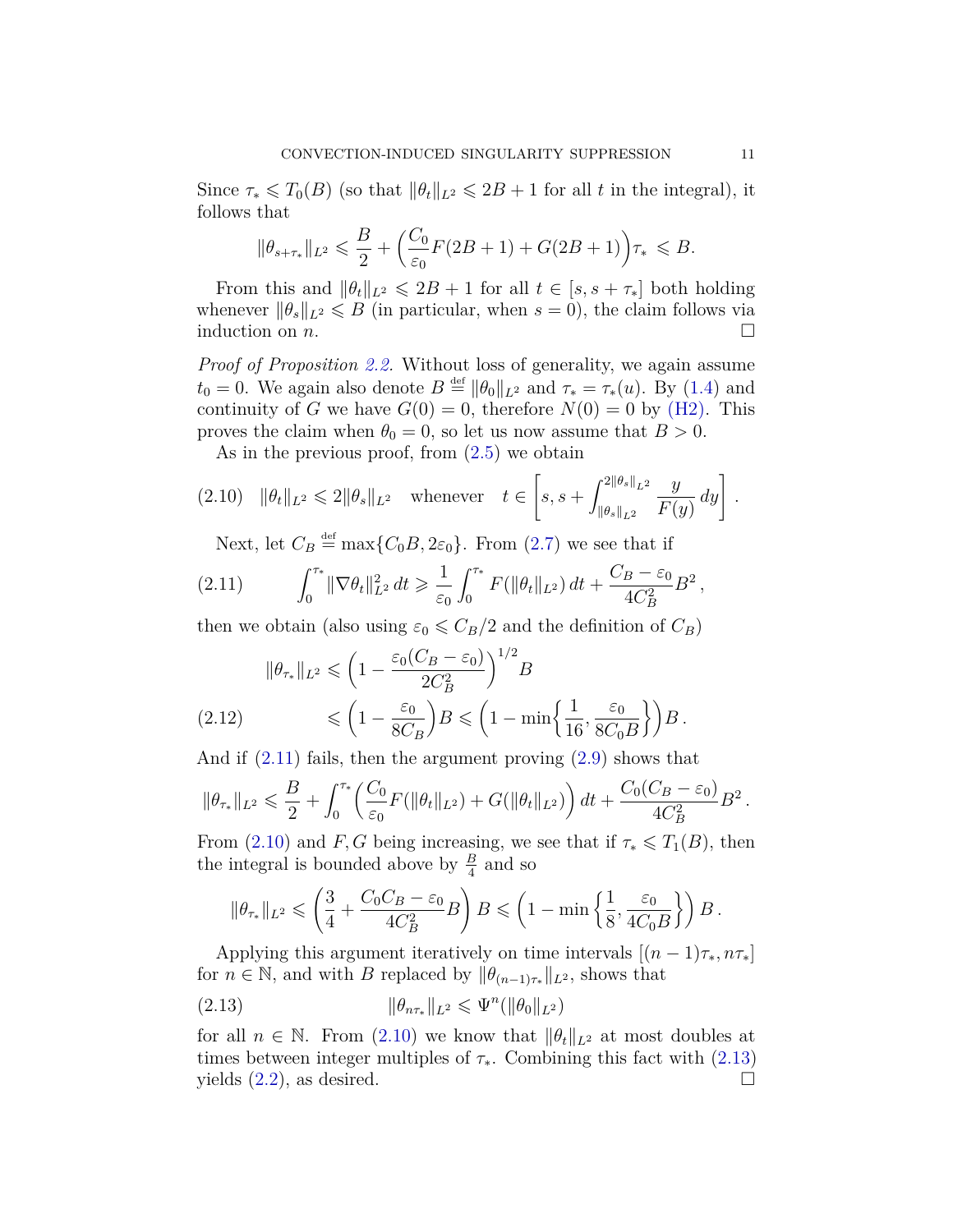Since  $\tau_* \leq T_0(B)$  (so that  $\|\theta_t\|_{L^2} \leq 2B + 1$  for all *t* in the integral), it follows that

$$
\|\theta_{s+\tau_*}\|_{L^2} \leq \frac{B}{2} + \left(\frac{C_0}{\varepsilon_0}F(2B+1) + G(2B+1)\right)\tau_* \leq B.
$$

From this and  $\|\theta_t\|_{L^2} \leq 2B + 1$  for all  $t \in [s, s + \tau_*]$  both holding whenever  $\|\theta_s\|_{L^2} \le B$  (in particular, when  $s = 0$ ), the claim follows via induction on  $n$ .

*Proof of Proposition [2.2.](#page-7-2)* Without loss of generality, we again assume  $t_0 = 0$ . We again also denote  $B \stackrel{\text{def}}{=} ||\theta_0||_{L^2}$  and  $\tau_* = \tau_*(u)$ . By [\(1.4\)](#page-2-2) and continuity of *G* we have  $G(0) = 0$ , therefore  $N(0) = 0$  by [\(H2\).](#page-1-2) This proves the claim when  $\theta_0 = 0$ , so let us now assume that  $B > 0$ .

<span id="page-10-1"></span>As in the previous proof, from [\(2.5\)](#page-9-3) we obtain

$$
(2.10) \quad \|\theta_t\|_{L^2} \leq 2\|\theta_s\|_{L^2} \quad \text{whenever} \quad t \in \left[s, s + \int_{\|\theta_s\|_{L^2}}^{2\|\theta_s\|_{L^2}} \frac{y}{F(y)} dy\right].
$$

<span id="page-10-0"></span>Next, let  $C_B \stackrel{\text{def}}{=} \max\{C_0B, 2\varepsilon_0\}$ . From [\(2.7\)](#page-9-1) we see that if

$$
(2.11) \qquad \int_0^{\tau_*} \|\nabla \theta_t\|_{L^2}^2 \, dt \ge \frac{1}{\varepsilon_0} \int_0^{\tau_*} F(\|\theta_t\|_{L^2}) \, dt + \frac{C_B - \varepsilon_0}{4C_B^2} B^2 \,,
$$

then we obtain (also using  $\varepsilon_0 \leq C_B/2$  and the definition of  $C_B$ )

$$
\|\theta_{\tau_*}\|_{L^2} \leqslant \left(1 - \frac{\varepsilon_0 (C_B - \varepsilon_0)}{2C_B^2}\right)^{1/2} B
$$
  
(2.12) 
$$
\leqslant \left(1 - \frac{\varepsilon_0}{8C_B}\right) B \leqslant \left(1 - \min\left\{\frac{1}{16}, \frac{\varepsilon_0}{8C_0 B}\right\}\right) B.
$$

And if [\(2.11\)](#page-10-0) fails, then the argument proving [\(2.9\)](#page-9-4) shows that

$$
\|\theta_{\tau_{*}}\|_{L^{2}} \leqslant \frac{B}{2} + \int_{0}^{\tau_{*}} \left(\frac{C_{0}}{\varepsilon_{0}} F(\|\theta_{t}\|_{L^{2}}) + G(\|\theta_{t}\|_{L^{2}}) \right) dt + \frac{C_{0}(C_{B} - \varepsilon_{0})}{4C_{B}^{2}} B^{2}.
$$

From [\(2.10\)](#page-10-1) and *F*, *G* being increasing, we see that if  $\tau_* \leq T_1(B)$ , then the integral is bounded above by  $\frac{B}{4}$  and so

<span id="page-10-2"></span>
$$
\|\theta_{\tau_*}\|_{L^2} \leqslant \left(\frac{3}{4} + \frac{C_0C_B - \varepsilon_0}{4C_B^2}B\right)B \leqslant \left(1 - \min\left\{\frac{1}{8}, \frac{\varepsilon_0}{4C_0B}\right\}\right)B.
$$

Applying this argument iteratively on time intervals  $[(n-1)\tau_*, n\tau_*]$ for  $n \in \mathbb{N}$ , and with *B* replaced by  $\|\theta_{(n-1)\tau_*}\|_{L^2}$ , shows that

(2.13) 
$$
\|\theta_{n\tau_{*}}\|_{L^{2}} \leq \Psi^{n}(\|\theta_{0}\|_{L^{2}})
$$

for all  $n \in \mathbb{N}$ . From [\(2.10\)](#page-10-1) we know that  $\|\theta_t\|_{L^2}$  at most doubles at times between integer multiples of  $\tau_*$ . Combining this fact with [\(2.13\)](#page-10-2) yields  $(2.2)$ , as desired.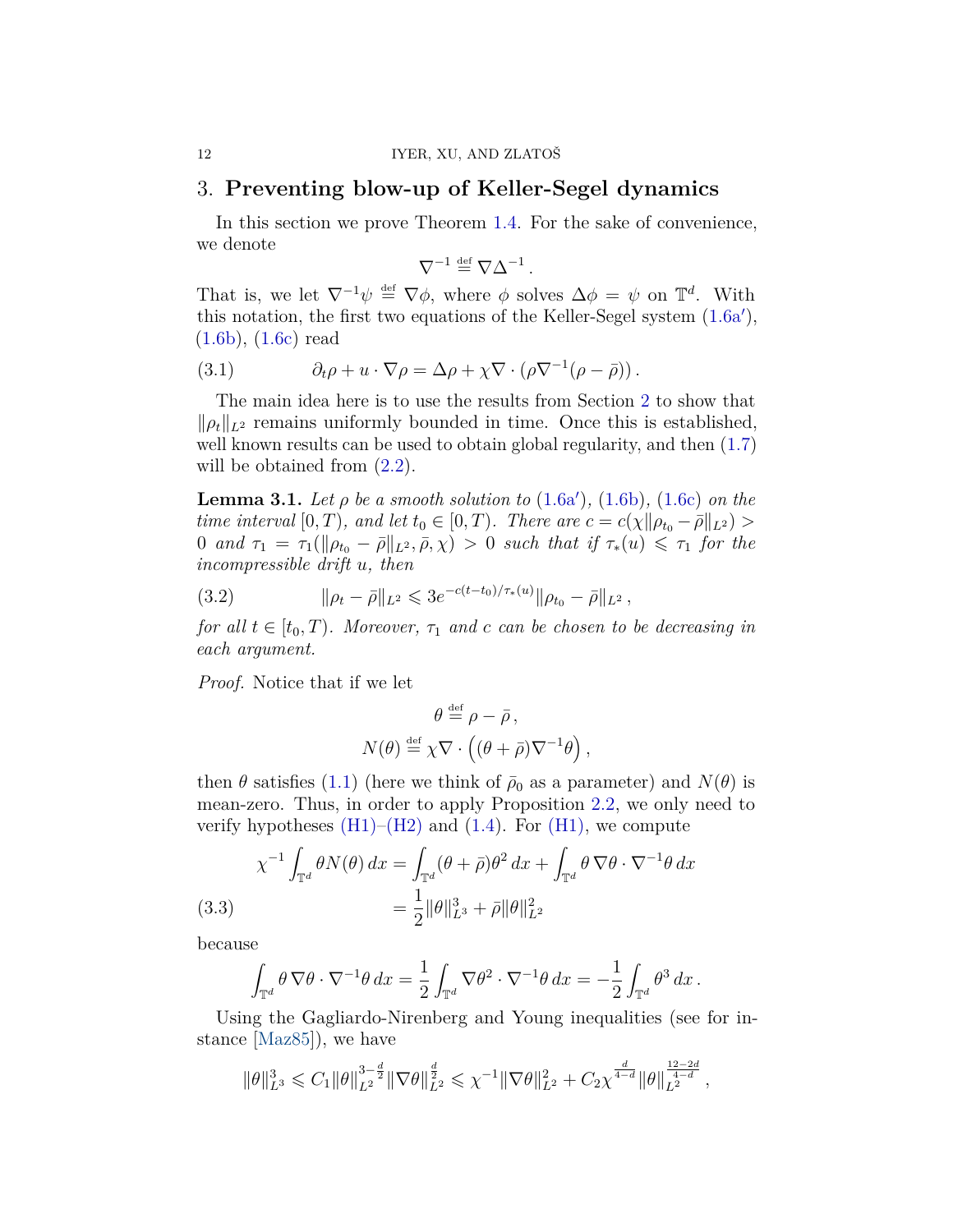## 3. **Preventing blow-up of Keller-Segel dynamics**

In this section we prove Theorem [1.4.](#page-5-4) For the sake of convenience, we denote

$$
\nabla^{-1} \stackrel{\text{def}}{=} \nabla \Delta^{-1}.
$$

That is, we let  $\nabla^{-1}\psi \stackrel{\text{def}}{=} \nabla\phi$ , where  $\phi$  solves  $\Delta\phi = \psi$  on  $\mathbb{T}^d$ . With this notation, the first two equations of the Keller-Segel system  $(1.6a')$  $(1.6a')$ , [\(1.6b\)](#page-5-3), [\(1.6c\)](#page-5-1) read

<span id="page-11-2"></span>(3.1) 
$$
\partial_t \rho + u \cdot \nabla \rho = \Delta \rho + \chi \nabla \cdot (\rho \nabla^{-1} (\rho - \bar{\rho})).
$$

The main idea here is to use the results from Section [2](#page-7-0) to show that  $\|\rho_t\|_{L^2}$  remains uniformly bounded in time. Once this is established, well known results can be used to obtain global regularity, and then  $(1.7)$ will be obtained from  $(2.2)$ .

<span id="page-11-3"></span>**Lemma 3.1.** *Let*  $\rho$  *be a smooth solution to* [\(1.6a](#page-5-2)'), [\(1.6b\)](#page-5-3), [\(1.6c\)](#page-5-1) *on the time interval*  $[0, T)$ *, and let*  $t_0 \in [0, T)$ *. There are*  $c = c(\chi || \rho_{t_0} - \bar{\rho} ||_{L^2})$  > 0 *and*  $\tau_1 = \tau_1(\|\rho_{t_0} - \bar{\rho}\|_{L^2}, \bar{\rho}, \chi) > 0$  *such that if*  $\tau_*(u) \leq \tau_1$  *for the incompressible drift u, then*

<span id="page-11-1"></span>(3.2) 
$$
\|\rho_t - \bar{\rho}\|_{L^2} \leq 3e^{-c(t-t_0)/\tau_*(u)} \|\rho_{t_0} - \bar{\rho}\|_{L^2},
$$

*for all*  $t \in [t_0, T)$ *. Moreover,*  $\tau_1$  *and c can be chosen to be decreasing in each argument.*

*Proof.* Notice that if we let

$$
\theta \stackrel{\text{def}}{=} \rho - \bar{\rho},
$$
  

$$
N(\theta) \stackrel{\text{def}}{=} \chi \nabla \cdot ((\theta + \bar{\rho}) \nabla^{-1} \theta),
$$

then  $\theta$  satisfies [\(1.1\)](#page-1-0) (here we think of  $\bar{\rho}_0$  as a parameter) and  $N(\theta)$  is mean-zero. Thus, in order to apply Proposition [2.2,](#page-7-2) we only need to verify hypotheses  $(H1)$ – $(H2)$  and  $(1.4)$ . For  $(H1)$ , we compute

<span id="page-11-0"></span>(3.3) 
$$
\chi^{-1} \int_{\mathbb{T}^d} \theta N(\theta) dx = \int_{\mathbb{T}^d} (\theta + \bar{\rho}) \theta^2 dx + \int_{\mathbb{T}^d} \theta \nabla \theta \cdot \nabla^{-1} \theta dx
$$

$$
= \frac{1}{2} ||\theta||_{L^3}^3 + \bar{\rho} ||\theta||_{L^2}^2
$$

because

$$
\int_{\mathbb{T}^d} \theta \, \nabla \theta \cdot \nabla^{-1} \theta \, dx = \frac{1}{2} \int_{\mathbb{T}^d} \nabla \theta^2 \cdot \nabla^{-1} \theta \, dx = -\frac{1}{2} \int_{\mathbb{T}^d} \theta^3 \, dx \, .
$$

Using the Gagliardo-Nirenberg and Young inequalities (see for instance [\[Maz85\]](#page-24-8)), we have

$$
\|\theta\|_{L^3}^3\leqslant C_1\|\theta\|_{L^2}^{3-\frac{d}{2}}\|\nabla\theta\|_{L^2}^{\frac{d}{2}}\leqslant \chi^{-1}\|\nabla\theta\|_{L^2}^2+C_2\chi^{\frac{d}{4-d}}\|\theta\|_{L^2}^{\frac{12-2d}{4-d}}\,,
$$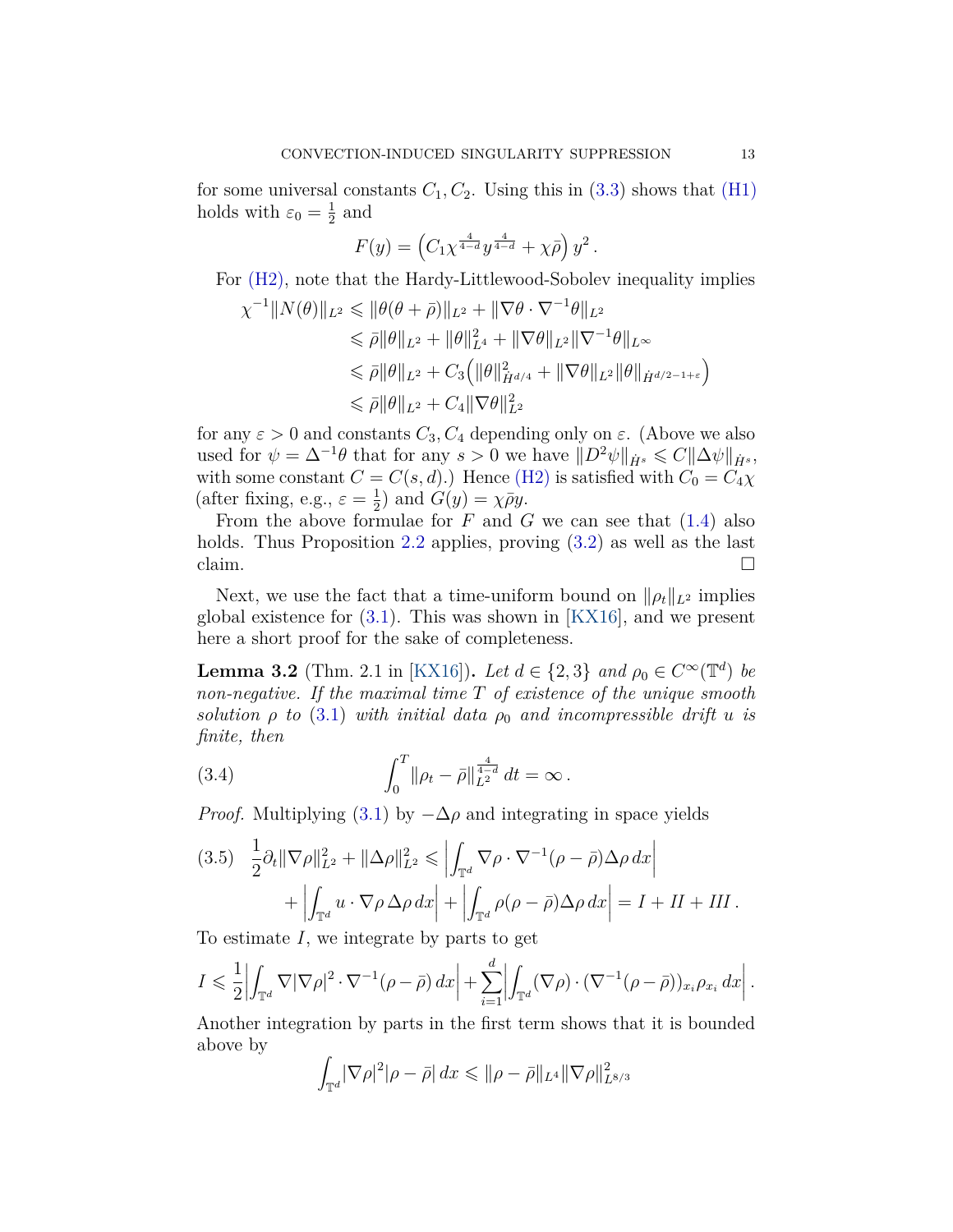for some universal constants  $C_1, C_2$ . Using this in  $(3.3)$  shows that  $(H1)$ holds with  $\varepsilon_0 = \frac{1}{2}$  $\frac{1}{2}$  and

$$
F(y) = \left( C_1 \chi^{\frac{4}{4-d}} y^{\frac{4}{4-d}} + \chi \bar{\rho} \right) y^2.
$$

For [\(H2\),](#page-1-2) note that the Hardy-Littlewood-Sobolev inequality implies

$$
\chi^{-1}||N(\theta)||_{L^2} \le ||\theta(\theta + \bar{\rho})||_{L^2} + ||\nabla\theta \cdot \nabla^{-1}\theta||_{L^2}
$$
  
\n
$$
\le \bar{\rho}||\theta||_{L^2} + ||\theta||_{L^4}^2 + ||\nabla\theta||_{L^2}||\nabla^{-1}\theta||_{L^\infty}
$$
  
\n
$$
\le \bar{\rho}||\theta||_{L^2} + C_3 (||\theta||_{\dot{H}^{d/4}}^2 + ||\nabla\theta||_{L^2}||\theta||_{\dot{H}^{d/2-1+\varepsilon}})
$$
  
\n
$$
\le \bar{\rho}||\theta||_{L^2} + C_4 ||\nabla\theta||_{L^2}^2
$$

for any  $\varepsilon > 0$  and constants  $C_3, C_4$  depending only on  $\varepsilon$ . (Above we also used for  $\psi = \Delta^{-1}\theta$  that for any  $s > 0$  we have  $||D^2\psi||_{\dot{H}^s} \leqslant C||\Delta\psi||_{\dot{H}^s}$ , with some constant  $C = C(s, d)$ .) Hence [\(H2\)](#page-1-2) is satisfied with  $C_0 = C_4 \chi$ (after fixing, e.g.,  $\varepsilon = \frac{1}{2}$ )  $\frac{1}{2}$ ) and  $G(y) = \chi \bar{\rho} y$ .

From the above formulae for *F* and *G* we can see that [\(1.4\)](#page-2-2) also holds. Thus Proposition [2.2](#page-7-2) applies, proving  $(3.2)$  as well as the last claim.  $\Box$ 

Next, we use the fact that a time-uniform bound on  $\|\rho_t\|_{L^2}$  implies global existence for  $(3.1)$ . This was shown in [\[KX16\]](#page-24-0), and we present here a short proof for the sake of completeness.

<span id="page-12-2"></span>**Lemma 3.2** (Thm. 2.1 in [\[KX16\]](#page-24-0)). *Let*  $d \in \{2, 3\}$  *and*  $\rho_0 \in C^{\infty}(\mathbb{T}^d)$  *be non-negative. If the maximal time T of existence of the unique smooth solution*  $\rho$  *to* [\(3.1\)](#page-11-2) *with initial data*  $\rho_0$  *and incompressible drift u is finite, then*

<span id="page-12-1"></span>(3.4) 
$$
\int_0^T \|\rho_t - \bar{\rho}\|_{L^2}^{\frac{4}{4-d}} dt = \infty.
$$

*Proof.* Multiplying [\(3.1\)](#page-11-2) by  $-\Delta\rho$  and integrating in space yields

<span id="page-12-0"></span>
$$
(3.5) \quad \frac{1}{2}\partial_t \|\nabla \rho\|_{L^2}^2 + \|\Delta \rho\|_{L^2}^2 \le \left| \int_{\mathbb{T}^d} \nabla \rho \cdot \nabla^{-1} (\rho - \bar{\rho}) \Delta \rho \, dx \right| + \left| \int_{\mathbb{T}^d} u \cdot \nabla \rho \Delta \rho \, dx \right| + \left| \int_{\mathbb{T}^d} \rho (\rho - \bar{\rho}) \Delta \rho \, dx \right| = I + II + III.
$$

To estimate *I*, we integrate by parts to get

$$
I \leq \frac{1}{2} \left| \int_{\mathbb{T}^d} \nabla |\nabla \rho|^2 \cdot \nabla^{-1} (\rho - \bar{\rho}) \, dx \right| + \sum_{i=1}^d \left| \int_{\mathbb{T}^d} (\nabla \rho) \cdot (\nabla^{-1} (\rho - \bar{\rho}))_{x_i} \rho_{x_i} \, dx \right|.
$$

Another integration by parts in the first term shows that it is bounded above by

$$
\int_{\mathbb{T}^d} |\nabla \rho|^2 |\rho - \bar{\rho}| \, dx \leqslant \| \rho - \bar{\rho} \|_{L^4} \| \nabla \rho \|_{L^{8/3}}^2
$$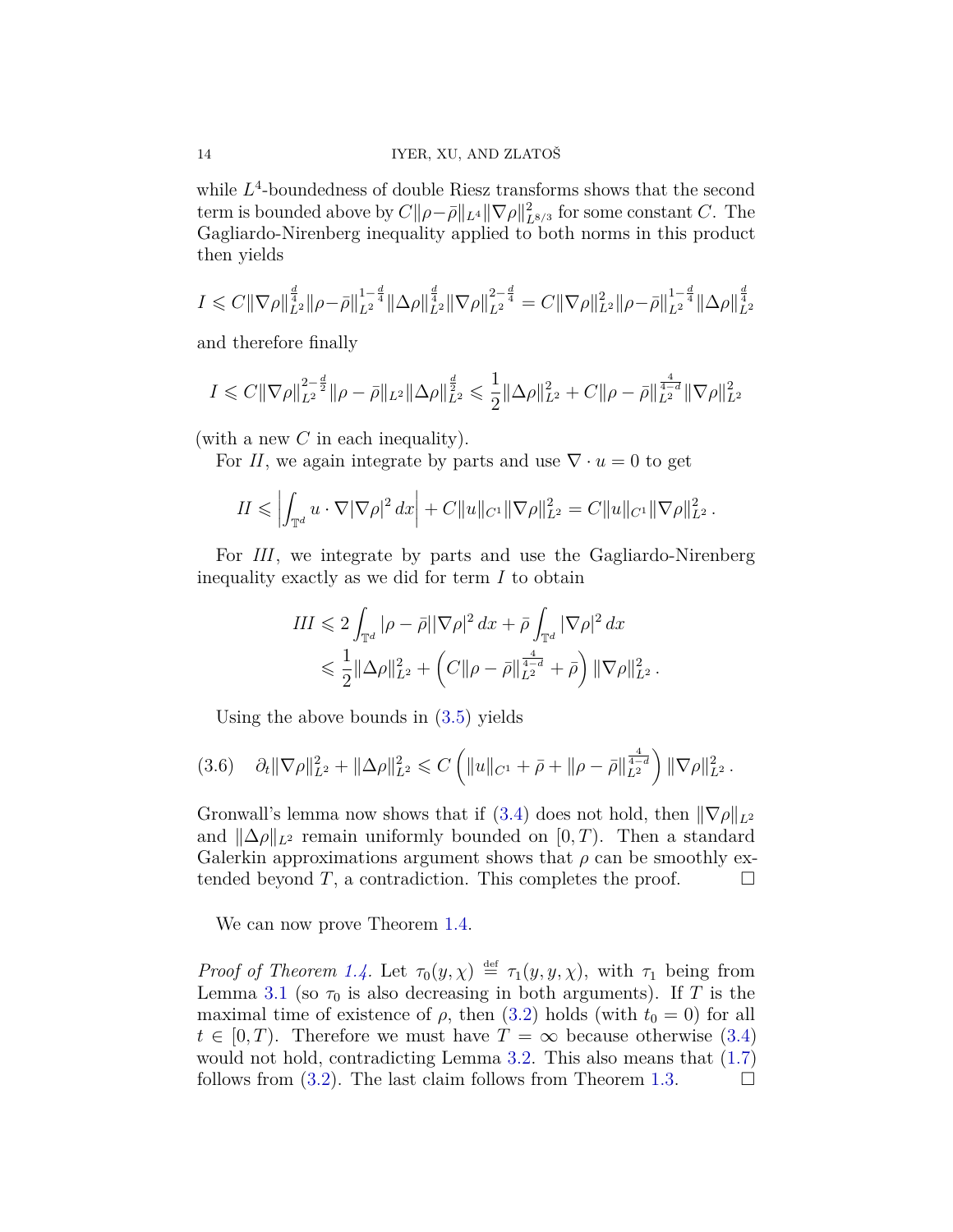while  $L^4$ -boundedness of double Riesz transforms shows that the second term is bounded above by  $C||\rho - \bar{\rho}||_{L^4} ||\nabla \rho||^2_{L^{8/3}}$  for some constant *C*. The Gagliardo-Nirenberg inequality applied to both norms in this product then yields

$$
I \leq C \|\nabla \rho\|_{L^2}^{\frac{d}{4}} \|\rho - \bar{\rho}\|_{L^2}^{1-\frac{d}{4}} \|\Delta \rho\|_{L^2}^{\frac{d}{4}} \|\nabla \rho\|_{L^2}^{2-\frac{d}{4}} = C \|\nabla \rho\|_{L^2}^2 \|\rho - \bar{\rho}\|_{L^2}^{1-\frac{d}{4}} \|\Delta \rho\|_{L^2}^{\frac{d}{4}}
$$

and therefore finally

$$
I \leq C \|\nabla \rho\|_{L^2}^{2-\frac{d}{2}} \|\rho - \bar{\rho}\|_{L^2} \|\Delta \rho\|_{L^2}^{\frac{d}{2}} \leq \frac{1}{2} \|\Delta \rho\|_{L^2}^2 + C \|\rho - \bar{\rho}\|_{L^2}^{\frac{4}{4-d}} \|\nabla \rho\|_{L^2}^2
$$

(with a new *C* in each inequality).

For *II*, we again integrate by parts and use  $\nabla \cdot u = 0$  to get

$$
II \leq \left| \int_{\mathbb{T}^d} u \cdot \nabla |\nabla \rho|^2 dx \right| + C \|u\|_{C^1} \|\nabla \rho\|_{L^2}^2 = C \|u\|_{C^1} \|\nabla \rho\|_{L^2}^2.
$$

For *III*, we integrate by parts and use the Gagliardo-Nirenberg inequality exactly as we did for term *I* to obtain

$$
III \leq 2 \int_{\mathbb{T}^d} |\rho - \bar{\rho}| |\nabla \rho|^2 dx + \bar{\rho} \int_{\mathbb{T}^d} |\nabla \rho|^2 dx
$$
  

$$
\leq \frac{1}{2} ||\Delta \rho||_{L^2}^2 + \left( C ||\rho - \bar{\rho}||_{L^2}^{\frac{4}{d-d}} + \bar{\rho} \right) ||\nabla \rho||_{L^2}^2.
$$

Using the above bounds in [\(3.5\)](#page-12-0) yields

$$
(3.6) \quad \partial_t \|\nabla \rho\|_{L^2}^2 + \|\Delta \rho\|_{L^2}^2 \leq C \left( \|u\|_{C^1} + \bar{\rho} + \|\rho - \bar{\rho}\|_{L^2}^{\frac{4}{4-d}} \right) \|\nabla \rho\|_{L^2}^2.
$$

Gronwall's lemma now shows that if [\(3.4\)](#page-12-1) does not hold, then  $\|\nabla\rho\|_{L^2}$ and  $\|\Delta\rho\|_{L^2}$  remain uniformly bounded on [0,*T*). Then a standard Galerkin approximations argument shows that  $\rho$  can be smoothly extended beyond *T*, a contradiction. This completes the proof.  $\Box$ 

We can now prove Theorem [1.4.](#page-5-4)

*Proof of Theorem [1.4.](#page-5-4)* Let  $\tau_0(y, \chi) \stackrel{\text{def}}{=} \tau_1(y, y, \chi)$ , with  $\tau_1$  being from Lemma [3.1](#page-11-3) (so  $\tau_0$  is also decreasing in both arguments). If *T* is the maximal time of existence of  $\rho$ , then [\(3.2\)](#page-11-1) holds (with  $t_0 = 0$ ) for all  $t \in [0, T)$ . Therefore we must have  $T = \infty$  because otherwise [\(3.4\)](#page-12-1) would not hold, contradicting Lemma [3.2.](#page-12-2) This also means that  $(1.7)$ follows from  $(3.2)$ . The last claim follows from Theorem [1.3.](#page-4-0)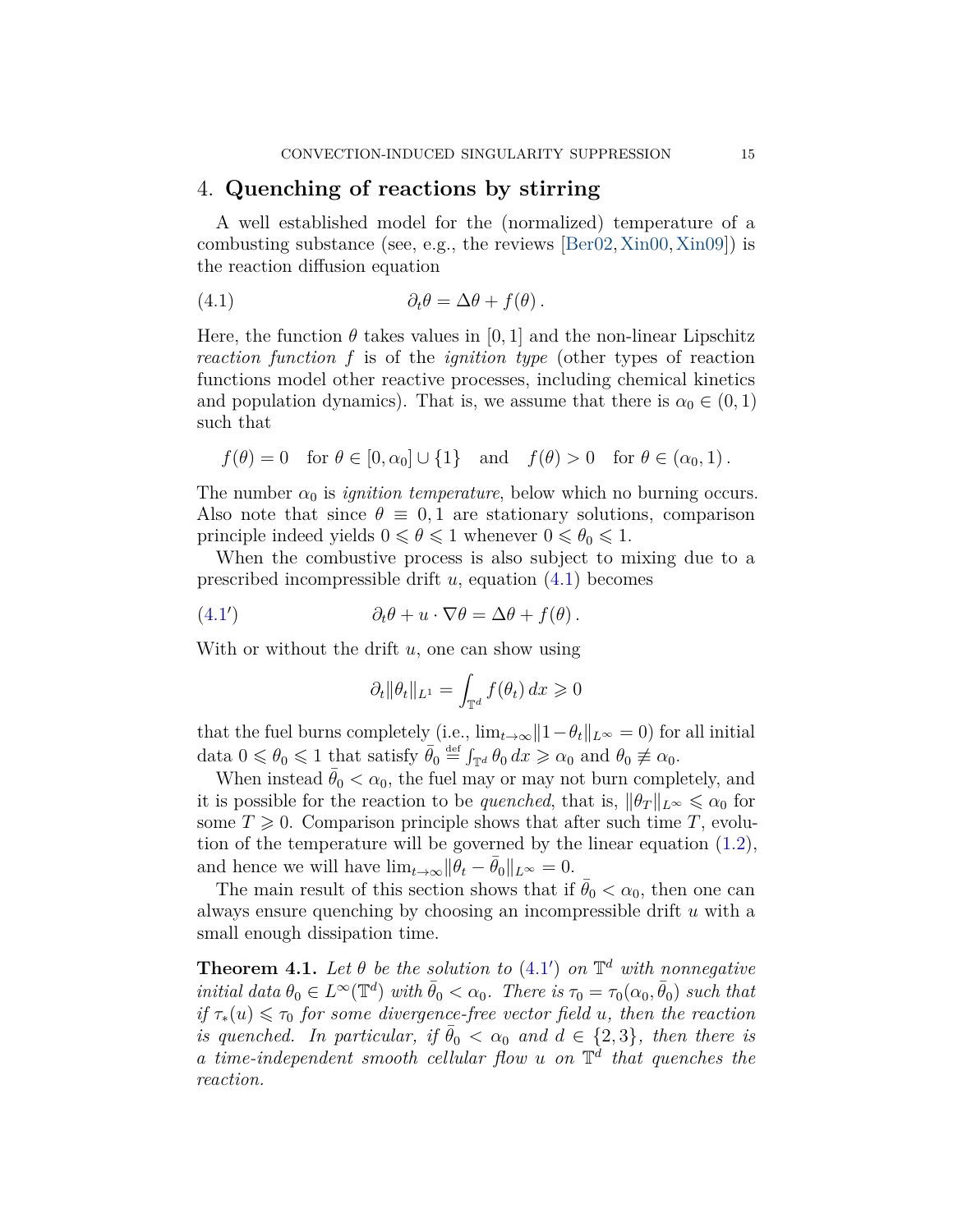### <span id="page-14-1"></span>4. **Quenching of reactions by stirring**

A well established model for the (normalized) temperature of a combusting substance (see, e.g., the reviews  $\left[ \text{Ber}02, \text{Xin}00, \text{Xin}09 \right]$ ) is the reaction diffusion equation

<span id="page-14-2"></span>(4.1) 
$$
\partial_t \theta = \Delta \theta + f(\theta).
$$

Here, the function  $\theta$  takes values in [0, 1] and the non-linear Lipschitz *reaction function f* is of the *ignition type* (other types of reaction functions model other reactive processes, including chemical kinetics and population dynamics). That is, we assume that there is  $\alpha_0 \in (0,1)$ such that

$$
f(\theta) = 0
$$
 for  $\theta \in [0, \alpha_0] \cup \{1\}$  and  $f(\theta) > 0$  for  $\theta \in (\alpha_0, 1)$ .

The number  $\alpha_0$  is *ignition temperature*, below which no burning occurs. Also note that since  $\theta \equiv 0, 1$  are stationary solutions, comparison principle indeed yields  $0 \le \theta \le 1$  whenever  $0 \le \theta_0 \le 1$ .

When the combustive process is also subject to mixing due to a prescribed incompressible drift *u*, equation [\(4.1\)](#page-14-2) becomes

<span id="page-14-3"></span>(4.1') 
$$
\partial_t \theta + u \cdot \nabla \theta = \Delta \theta + f(\theta).
$$

With or without the drift *u*, one can show using

$$
\partial_t \|\theta_t\|_{L^1} = \int_{\mathbb{T}^d} f(\theta_t) \, dx \geqslant 0
$$

that the fuel burns completely (i.e.,  $\lim_{t\to\infty}||1-\theta_t||_{L^{\infty}}=0$ ) for all initial data  $0 \le \theta_0 \le 1$  that satisfy  $\bar{\theta}_0 \stackrel{\text{def}}{=} \int_{\mathbb{T}^d} \theta_0 dx \ge \alpha_0$  and  $\theta_0 \not\equiv \alpha_0$ .

When instead  $\bar{\theta}_0 < \alpha_0$ , the fuel may or may not burn completely, and it is possible for the reaction to be *quenched*, that is,  $\|\theta_T\|_{L^\infty} \leq \alpha_0$  for some  $T \geq 0$ . Comparison principle shows that after such time T, evolution of the temperature will be governed by the linear equation [\(1.2\)](#page-2-0), and hence we will have  $\lim_{t\to\infty} ||\theta_t - \bar{\theta}_0||_{L^{\infty}} = 0.$ 

The main result of this section shows that if  $\theta_0 < \alpha_0$ , then one can always ensure quenching by choosing an incompressible drift *u* with a small enough dissipation time.

<span id="page-14-0"></span>**Theorem 4.1.** Let  $\theta$  be the solution to [\(4.1](#page-14-3)') on  $\mathbb{T}^d$  with nonnegative *initial data*  $\theta_0 \in L^{\infty}(\mathbb{T}^d)$  *with*  $\bar{\theta}_0 < \alpha_0$ *. There is*  $\tau_0 = \tau_0(\alpha_0, \bar{\theta}_0)$  *such that*  $if \tau_*(u) \leq \tau_0$  *for some divergence-free vector field u, then the reaction is quenched. In particular, if*  $\bar{\theta}_0 < \alpha_0$  *and*  $d \in \{2, 3\}$ *, then there is a time-independent smooth cellular flow u on* T *d that quenches the reaction.*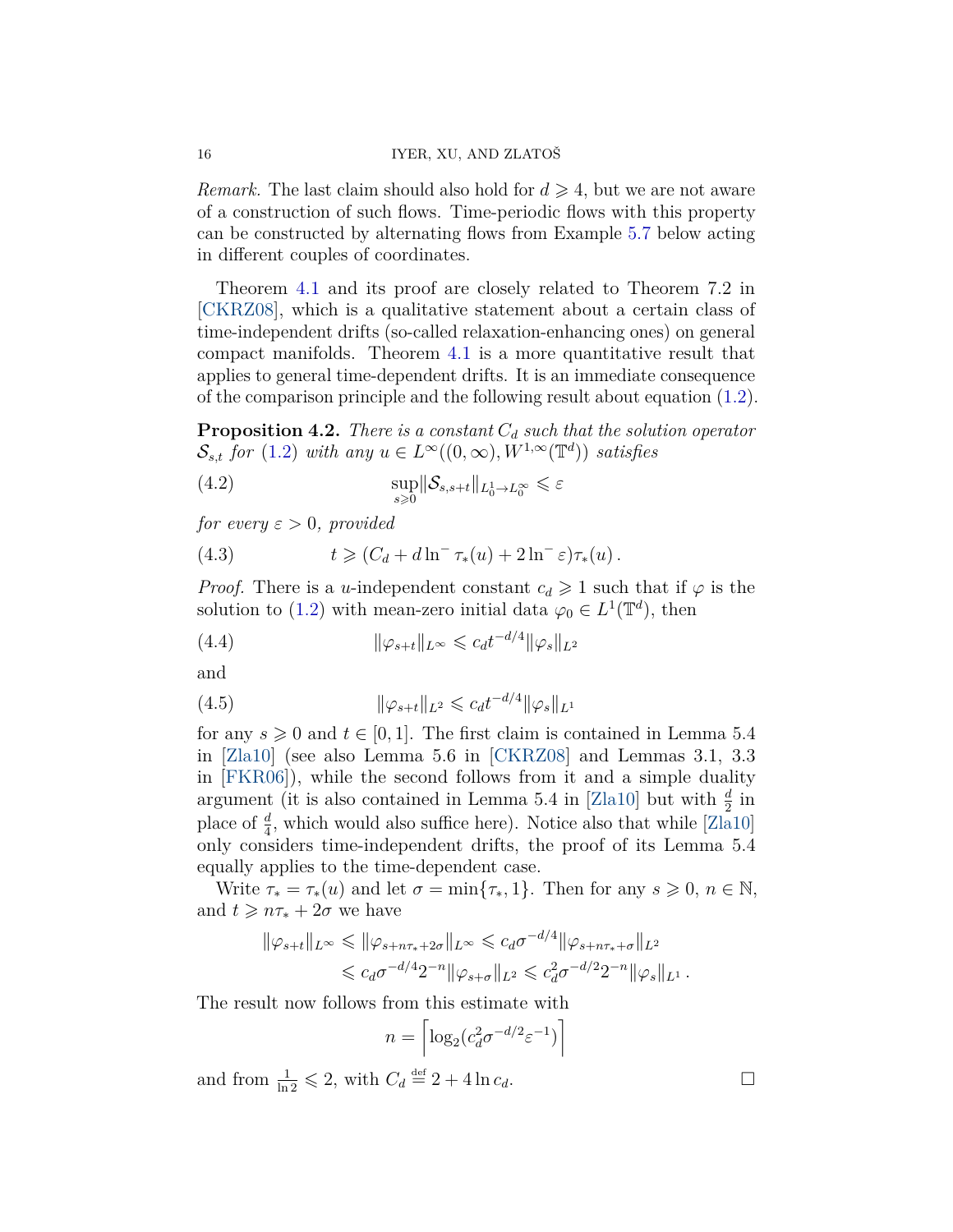*Remark.* The last claim should also hold for  $d \geq 4$ , but we are not aware of a construction of such flows. Time-periodic flows with this property can be constructed by alternating flows from Example [5.7](#page-22-7) below acting in different couples of coordinates.

Theorem [4.1](#page-14-0) and its proof are closely related to Theorem 7.2 in [\[CKRZ08\]](#page-22-2), which is a qualitative statement about a certain class of time-independent drifts (so-called relaxation-enhancing ones) on general compact manifolds. Theorem [4.1](#page-14-0) is a more quantitative result that applies to general time-dependent drifts. It is an immediate consequence of the comparison principle and the following result about equation [\(1.2\)](#page-2-0).

<span id="page-15-1"></span>**Proposition 4.2.** *There is a constant C<sup>d</sup> such that the solution operator*  $\mathcal{S}_{s,t}$  *for* [\(1.2\)](#page-2-0) *with any*  $u \in L^{\infty}((0,\infty), W^{1,\infty}(\mathbb{T}^d))$  *satisfies* 

(4.2) 
$$
\sup_{s\geq 0} \|\mathcal{S}_{s,s+t}\|_{L_0^1\to L_0^\infty} \leq \varepsilon
$$

*for every*  $\varepsilon > 0$ *, provided* 

<span id="page-15-0"></span>(4.3) 
$$
t \geqslant (C_d + d \ln^{-} \tau_*(u) + 2 \ln^{-} \varepsilon) \tau_*(u).
$$

*Proof.* There is a *u*-independent constant  $c_d \geq 1$  such that if  $\varphi$  is the solution to [\(1.2\)](#page-2-0) with mean-zero initial data  $\varphi_0 \in L^1(\mathbb{T}^d)$ , then

(4.4) 
$$
\|\varphi_{s+t}\|_{L^{\infty}} \leqslant c_d t^{-d/4} \|\varphi_s\|_{L^2}
$$

and

(4.5) 
$$
\|\varphi_{s+t}\|_{L^2} \leq c_d t^{-d/4} \|\varphi_s\|_{L^1}
$$

for any  $s \geqslant 0$  and  $t \in [0, 1]$ . The first claim is contained in Lemma 5.4 in [\[Zla10\]](#page-24-1) (see also Lemma 5.6 in [\[CKRZ08\]](#page-22-2) and Lemmas 3.1, 3.3 in [\[FKR06\]](#page-23-0)), while the second follows from it and a simple duality argument (it is also contained in Lemma 5.4 in [\[Zla10\]](#page-24-1) but with  $\frac{d}{2}$  in place of  $\frac{d}{4}$ , which would also suffice here). Notice also that while [\[Zla10\]](#page-24-1) only considers time-independent drifts, the proof of its Lemma 5.4 equally applies to the time-dependent case.

Write  $\tau_* = \tau_*(u)$  and let  $\sigma = \min\{\tau_*, 1\}$ . Then for any  $s \geqslant 0, n \in \mathbb{N}$ , and  $t \geq n\tau_* + 2\sigma$  we have

$$
\|\varphi_{s+t}\|_{L^{\infty}} \leq \|\varphi_{s+n\tau_*+2\sigma}\|_{L^{\infty}} \leq c_d \sigma^{-d/4} \|\varphi_{s+n\tau_*+\sigma}\|_{L^2}
$$
  

$$
\leq c_d \sigma^{-d/4} 2^{-n} \|\varphi_{s+\sigma}\|_{L^2} \leq c_d^2 \sigma^{-d/2} 2^{-n} \|\varphi_s\|_{L^1}.
$$

The result now follows from this estimate with

$$
n = \left\lceil \log_2(c_d^2 \sigma^{-d/2} \varepsilon^{-1}) \right\rceil
$$

and from  $\frac{1}{\ln 2} \leq 2$ , with  $C_d \stackrel{\text{def}}{=} 2 + 4 \ln c_d$ .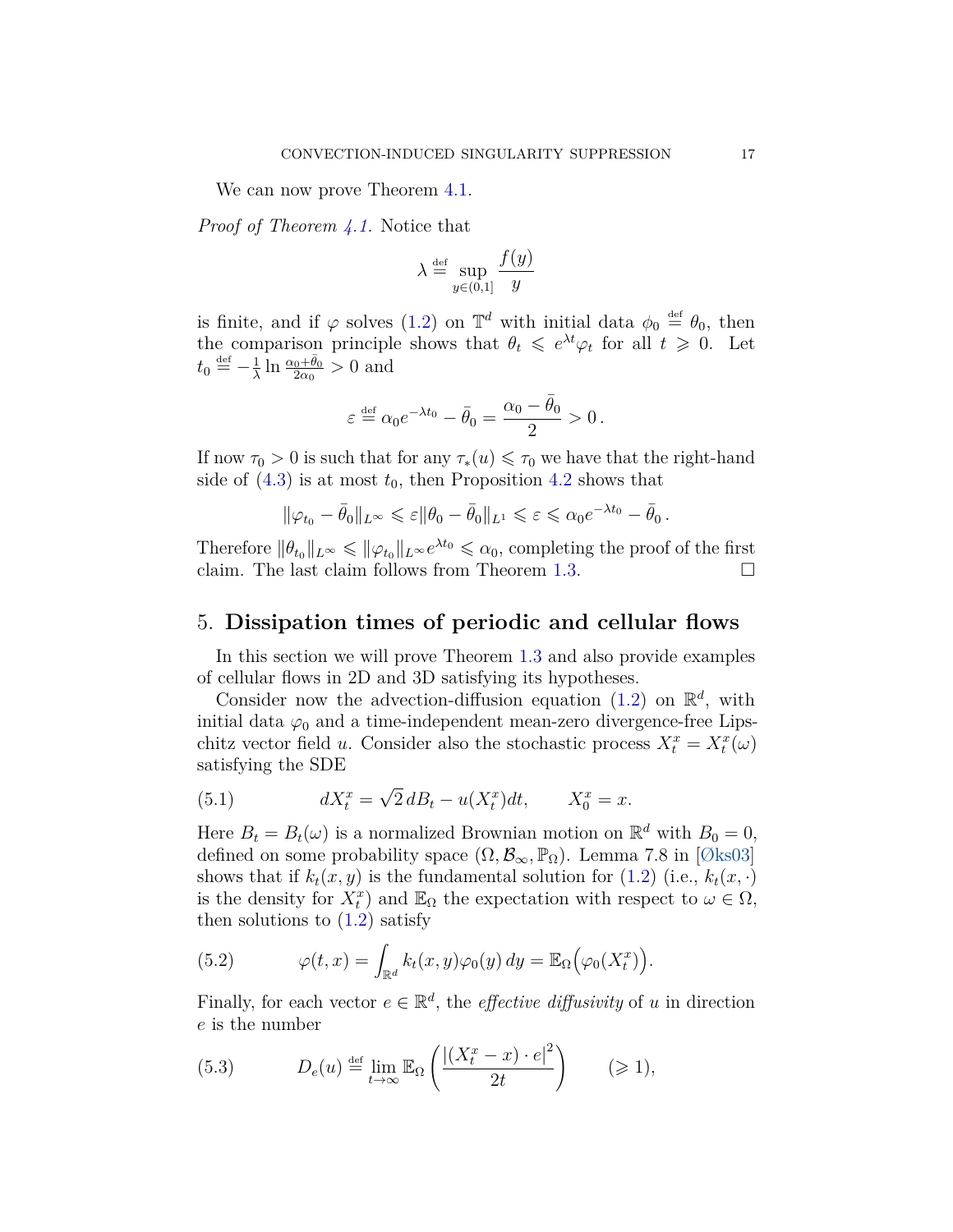We can now prove Theorem [4.1.](#page-14-0)

*Proof of Theorem [4.1.](#page-14-0)* Notice that

$$
\lambda \stackrel{\text{def}}{=} \sup_{y \in (0,1]} \frac{f(y)}{y}
$$

is finite, and if  $\varphi$  solves [\(1.2\)](#page-2-0) on  $\mathbb{T}^d$  with initial data  $\phi_0 \stackrel{\text{def}}{=} \theta_0$ , then the comparison principle shows that  $\theta_t \leqslant e^{\lambda t} \varphi_t$  for all  $t \geqslant 0$ . Let  $t_0 \stackrel{\text{def}}{=} -\frac{1}{\lambda}$  $\frac{1}{\lambda}$  ln  $\frac{\alpha_0 + \bar{\theta}_0}{2\alpha_0} > 0$  and

$$
\varepsilon \stackrel{\text{def}}{=} \alpha_0 e^{-\lambda t_0} - \bar{\theta}_0 = \frac{\alpha_0 - \bar{\theta}_0}{2} > 0.
$$

If now  $\tau_0 > 0$  is such that for any  $\tau_*(u) \leq \tau_0$  we have that the right-hand side of  $(4.3)$  is at most  $t_0$ , then Proposition [4.2](#page-15-1) shows that

$$
\|\varphi_{t_0}-\bar{\theta}_0\|_{L^\infty}\leqslant \varepsilon\|\theta_0-\bar{\theta}_0\|_{L^1}\leqslant \varepsilon\leqslant \alpha_0e^{-\lambda t_0}-\bar{\theta}_0\,.
$$

Therefore  $\|\theta_{t_0}\|_{L^{\infty}} \leq \|\varphi_{t_0}\|_{L^{\infty}}e^{\lambda t_0} \leq \alpha_0$ , completing the proof of the first claim. The last claim follows from Theorem [1.3.](#page-4-0)  $\Box$ 

### <span id="page-16-0"></span>5. **Dissipation times of periodic and cellular flows**

In this section we will prove Theorem [1.3](#page-4-0) and also provide examples of cellular flows in 2D and 3D satisfying its hypotheses.

Consider now the advection-diffusion equation  $(1.2)$  on  $\mathbb{R}^d$ , with initial data  $\varphi_0$  and a time-independent mean-zero divergence-free Lipschitz vector field *u*. Consider also the stochastic process  $X_t^x = X_t^x(\omega)$ satisfying the SDE

<span id="page-16-2"></span>(5.1) 
$$
dX_t^x = \sqrt{2} dB_t - u(X_t^x)dt, \qquad X_0^x = x.
$$

Here  $B_t = B_t(\omega)$  is a normalized Brownian motion on  $\mathbb{R}^d$  with  $B_0 = 0$ , defined on some probability space  $(\Omega, \mathcal{B}_{\infty}, \mathbb{P}_{\Omega})$ . Lemma 7.8 in [\[Øks03\]](#page-24-11) shows that if  $k_t(x, y)$  is the fundamental solution for [\(1.2\)](#page-2-0) (i.e.,  $k_t(x, \cdot)$ ) is the density for  $\tilde{X}_t^x$  and  $\mathbb{E}_{\Omega}$  the expectation with respect to  $\omega \in \Omega$ , then solutions to  $(1.2)$  satisfy

(5.2) 
$$
\varphi(t,x) = \int_{\mathbb{R}^d} k_t(x,y) \varphi_0(y) dy = \mathbb{E}_{\Omega} \big( \varphi_0(X_t^x) \big).
$$

Finally, for each vector  $e \in \mathbb{R}^d$ , the *effective diffusivity* of *u* in direction *e* is the number

<span id="page-16-1"></span>(5.3) 
$$
D_e(u) \stackrel{\text{def}}{=} \lim_{t \to \infty} \mathbb{E}_{\Omega} \left( \frac{|(X_t^x - x) \cdot e|^2}{2t} \right) \qquad (\geq 1),
$$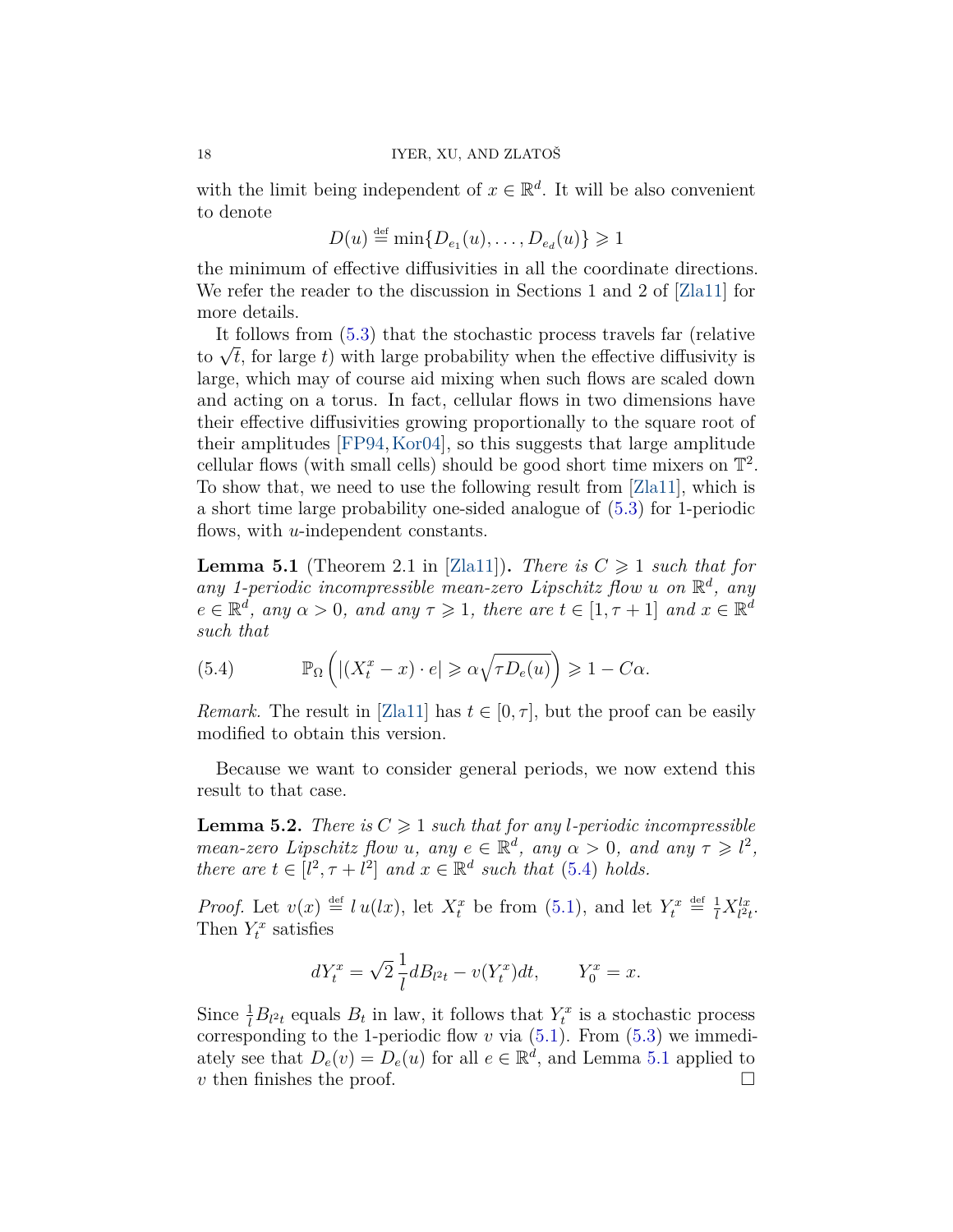with the limit being independent of  $x \in \mathbb{R}^d$ . It will be also convenient to denote

$$
D(u) \stackrel{\text{def}}{=} \min\{D_{e_1}(u), \dots, D_{e_d}(u)\} \geq 1
$$

the minimum of effective diffusivities in all the coordinate directions. We refer the reader to the discussion in Sections 1 and 2 of [\[Zla11\]](#page-24-12) for more details.

It follows from [\(5.3\)](#page-16-1) that the stochastic process travels far (relative It follows from (5.3) that the stochastic process travels far (relative<br>to  $\sqrt{t}$ , for large *t*) with large probability when the effective diffusivity is large, which may of course aid mixing when such flows are scaled down and acting on a torus. In fact, cellular flows in two dimensions have their effective diffusivities growing proportionally to the square root of their amplitudes [\[FP94,](#page-23-6)[Kor04\]](#page-23-7), so this suggests that large amplitude cellular flows (with small cells) should be good short time mixers on  $\mathbb{T}^2$ . To show that, we need to use the following result from [\[Zla11\]](#page-24-12), which is a short time large probability one-sided analogue of [\(5.3\)](#page-16-1) for 1-periodic flows, with *u*-independent constants.

<span id="page-17-1"></span>**Lemma 5.1** (Theorem 2.1 in [\[Zla11\]](#page-24-12)). *There is*  $C \geq 1$  *such that for any 1-periodic incompressible mean-zero Lipschitz flow u on* R *d , any*  $e \in \mathbb{R}^d$ , any  $\alpha > 0$ , and any  $\tau \geq 1$ , there are  $t \in [1, \tau + 1]$  and  $x \in \mathbb{R}^d$ *such that*

<span id="page-17-0"></span>(5.4) 
$$
\mathbb{P}_{\Omega}\left(|(X_t^x - x) \cdot e| \geq \alpha \sqrt{\tau D_e(u)}\right) \geq 1 - C\alpha.
$$

*Remark.* The result in [\[Zla11\]](#page-24-12) has  $t \in [0, \tau]$ , but the proof can be easily modified to obtain this version.

Because we want to consider general periods, we now extend this result to that case.

<span id="page-17-2"></span>**Lemma 5.2.** *There is*  $C \geq 1$  *such that for any l-periodic incompressible mean-zero Lipschitz flow u, any*  $e \in \mathbb{R}^d$ , any  $\alpha > 0$ , and any  $\tau \geq l^2$ , *there are*  $t \in [l^2, \tau + l^2]$  *and*  $x \in \mathbb{R}^d$  *such that* [\(5.4\)](#page-17-0) *holds.* 

*Proof.* Let  $v(x) \stackrel{\text{def}}{=} l u(lx)$ , let  $X_t^x$  be from [\(5.1\)](#page-16-2), and let  $Y_t^x \stackrel{\text{def}}{=} \frac{1}{l} X_{l^2t}^{lx}$ . Then  $Y_t^x$  satisfies

$$
dY_t^x = \sqrt{2} \frac{1}{l} dB_{l^2t} - v(Y_t^x)dt, \qquad Y_0^x = x.
$$

Since  $\frac{1}{l}B_{l^2t}$  equals  $B_t$  in law, it follows that  $Y_t^x$  is a stochastic process corresponding to the 1-periodic flow  $v$  via  $(5.1)$ . From  $(5.3)$  we immediately see that  $D_e(v) = D_e(u)$  for all  $e \in \mathbb{R}^d$ , and Lemma [5.1](#page-17-1) applied to *v* then finishes the proof.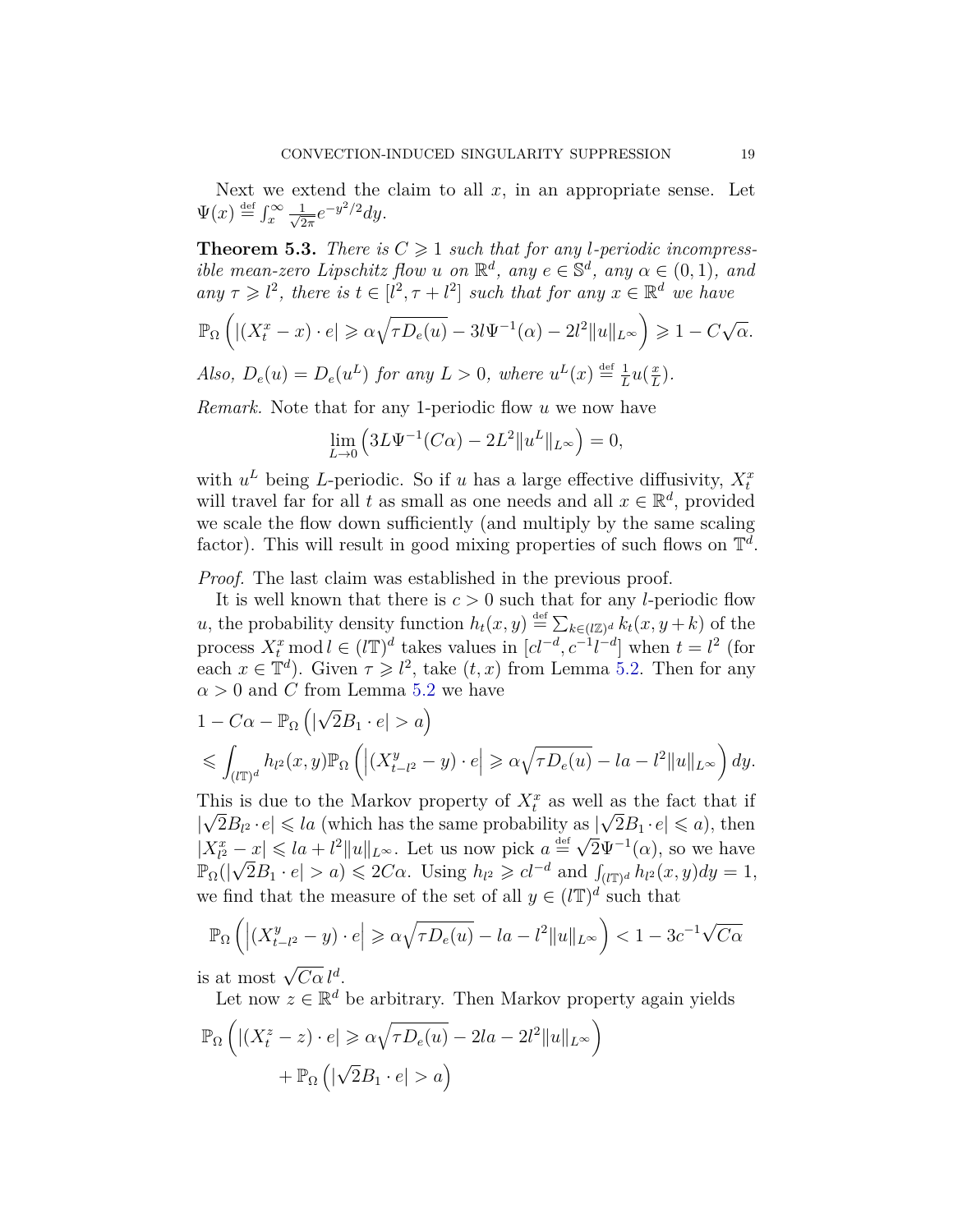Next we extend the claim to all  $x$ , in an appropriate sense. Let  $\Psi(x) \stackrel{\text{def}}{=} \int_x^{\infty} \frac{1}{\sqrt{2}}$  $\frac{1}{2\pi}e^{-y^2/2}dy$ .

<span id="page-18-0"></span>**Theorem 5.3.** *There is*  $C \geq 1$  *such that for any l-periodic incompressible mean-zero Lipschitz flow <i>u on*  $\mathbb{R}^d$ *, any e*  $\in \mathbb{S}^d$ *, any*  $\alpha \in (0,1)$ *, and*  $any \tau \geq l^2$ , there is  $t \in [l^2, \tau + l^2]$  such that for any  $x \in \mathbb{R}^d$  we have

$$
\mathbb{P}_{\Omega}\left(\left|\left(X_t^x - x\right) \cdot e\right| \geqslant \alpha \sqrt{\tau D_e(u)} - 3l \Psi^{-1}(\alpha) - 2l^2 \|u\|_{L^{\infty}}\right) \geqslant 1 - C\sqrt{\alpha}.
$$

*Also,*  $D_e(u) = D_e(u^L)$  for any  $L > 0$ , where  $u^L(x) \stackrel{\text{def}}{=} \frac{1}{L}$  $\frac{1}{L}u(\frac{x}{L})$  $\frac{x}{L}$ .

*Remark.* Note that for any 1-periodic flow *u* we now have

$$
\lim_{L \to 0} \left( 3L \Psi^{-1}(C\alpha) - 2L^2 \|u^L\|_{L^\infty} \right) = 0,
$$

with  $u^L$  being *L*-periodic. So if *u* has a large effective diffusivity,  $X_t^x$ will travel far for all *t* as small as one needs and all  $x \in \mathbb{R}^d$ , provided we scale the flow down sufficiently (and multiply by the same scaling factor). This will result in good mixing properties of such flows on  $\mathbb{T}^d$ .

*Proof.* The last claim was established in the previous proof.

It is well known that there is  $c > 0$  such that for any *l*-periodic flow *u*, the probability density function  $h_t(x, y) \stackrel{\text{def}}{=} \sum_{k \in (l \mathbb{Z})^d} k_t(x, y + k)$  of the process  $X_t^x \text{ mod } l \in (l\mathbb{T})^d$  takes values in  $[cl^{-d}, c^{-1}l^{-d}]$  when  $t = l^2$  (for each  $x \in \mathbb{T}^d$ ). Given  $\tau \geq l^2$ , take  $(t, x)$  from Lemma [5.2.](#page-17-2) Then for any  $\alpha > 0$  and *C* from Lemma [5.2](#page-17-2) we have

$$
1 - C\alpha - \mathbb{P}_{\Omega} \left( |\sqrt{2}B_1 \cdot e| > a \right)
$$
  
\$\leqslant \int\_{(l\mathbb{T})^d} h\_{l^2}(x, y) \mathbb{P}\_{\Omega} \left( \left| (X\_{t-l^2}^y - y) \cdot e \right| \geqslant \alpha \sqrt{\tau D\_e(u)} - la - l^2 \|u\|\_{L^{\infty}} \right) dy.\$

This is due to the Markov property of  $X_t^x$  as well as the fact that if  $|\sqrt{2}B_{l^2} \cdot e| \leqslant la$  (which has the same probability as  $|\sqrt{2}B_1 \cdot e| \leqslant a$ ), then  $|X_i^x - x| \leq l_a + l^2 ||u||_{L^\infty}$ . Let us now pick  $a = \sqrt{2}\Psi^{-1}(\alpha)$ , so we have  $\mathbb{P}_{\Omega}(|\sqrt{2}B_1 \cdot e| > a) \leq 2C\alpha$ . Using  $h_{l^2} \geq c l^{-d}$  and  $\int_{(l\mathbb{T})^d} h_{l^2}(x, y) dy = 1$ , we find that the measure of the set of all  $y \in (l\mathbb{T})^d$  such that

$$
\mathbb{P}_{\Omega}\left(\left|(X_{t-l^2}^y-y)\cdot e\right|\geqslant \alpha \sqrt{\tau D_e(u)}-la-l^2\|u\|_{L^\infty}\right)<1-3c^{-1}\sqrt{C\alpha}
$$

is at most  $\sqrt{C\alpha} l^d$ .

Let now  $z \in \mathbb{R}^d$  be arbitrary. Then Markov property again yields

$$
\mathbb{P}_{\Omega}\left(\left|\left(X_t^z - z\right) \cdot e\right| \geqslant \alpha \sqrt{\tau D_e(u)} - 2la - 2l^2 \|u\|_{L^{\infty}}\right) + \mathbb{P}_{\Omega}\left(\left|\sqrt{2}B_1 \cdot e\right| > a\right)
$$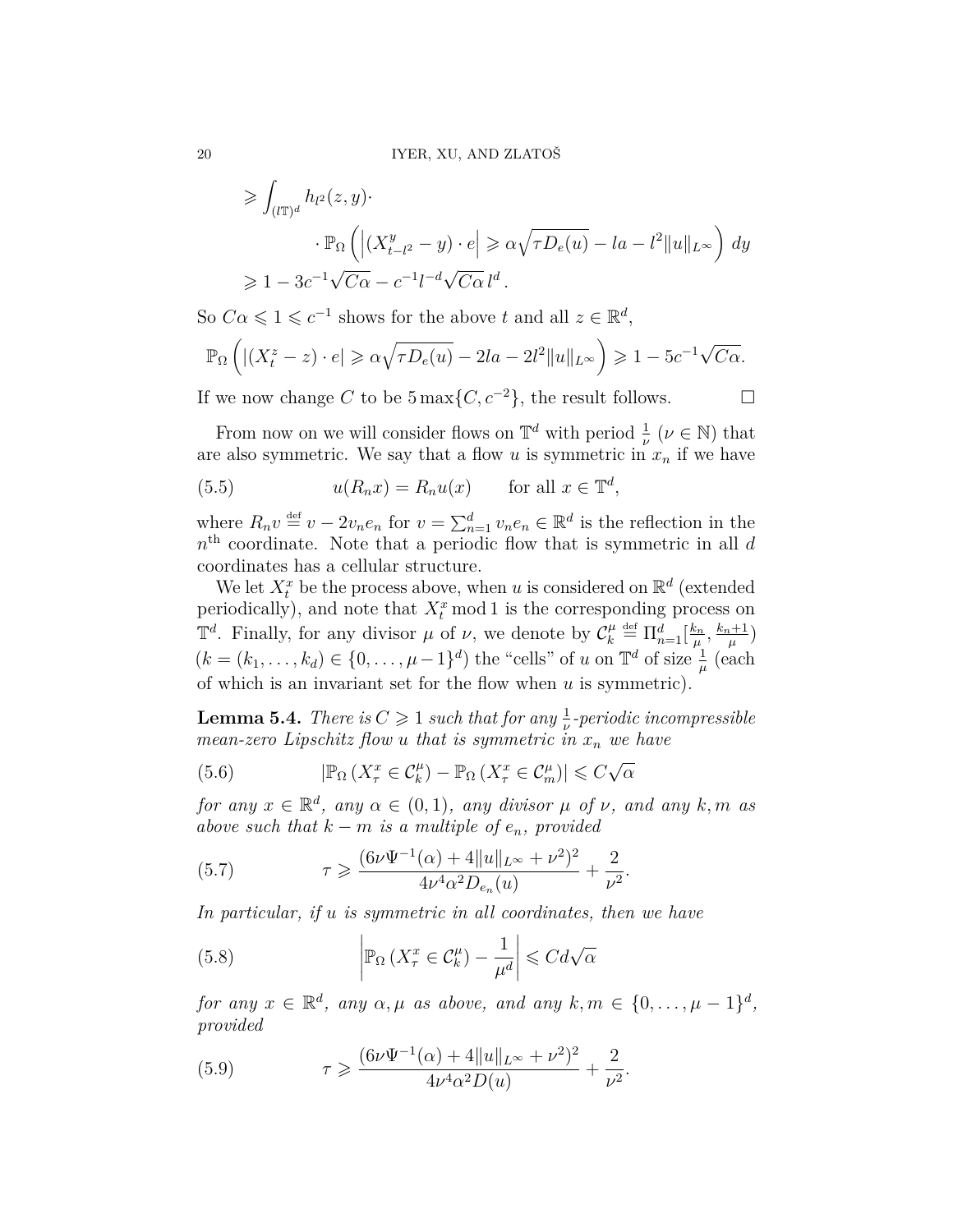$$
\geqslant \int_{(l\mathbb{T})^d} h_{l^2}(z, y) \cdot \cdot \cdot \mathbb{P}_{\Omega} \left( \left| (X_{t-l^2}^y - y) \cdot e \right| \geqslant \alpha \sqrt{\tau D_e(u)} - l a - l^2 \|u\|_{L^{\infty}} \right) dy
$$
  

$$
\geqslant 1 - 3c^{-1} \sqrt{C\alpha} - c^{-1} l^{-d} \sqrt{C\alpha} l^d.
$$

So  $C\alpha \leq 1 \leq c^{-1}$  shows for the above *t* and all  $z \in \mathbb{R}^d$ ,

$$
\mathbb{P}_{\Omega}\left(\left|\left(X_t^z - z\right) \cdot e\right| \geqslant \alpha \sqrt{\tau D_e(u)} - 2la - 2l^2 \|u\|_{L^{\infty}}\right) \geqslant 1 - 5c^{-1}\sqrt{C\alpha}.
$$

If we now change *C* to be 5 max{*C*,  $c^{-2}$ }, the result follows. □

From now on we will consider flows on  $\mathbb{T}^d$  with period  $\frac{1}{\nu}$  ( $\nu \in \mathbb{N}$ ) that are also symmetric. We say that a flow  $u$  is symmetric in  $x_n$  if we have

<span id="page-19-0"></span>(5.5) 
$$
u(R_n x) = R_n u(x) \quad \text{for all } x \in \mathbb{T}^d,
$$

where  $R_n v \stackrel{\text{def}}{=} v - 2v_n e_n$  for  $v = \sum_{n=1}^d v_n e_n \in \mathbb{R}^d$  is the reflection in the *n* th coordinate. Note that a periodic flow that is symmetric in all *d* coordinates has a cellular structure.

We let  $X_t^x$  be the process above, when *u* is considered on  $\mathbb{R}^d$  (extended periodically), and note that  $X_t^x$  mod 1 is the corresponding process on  $\mathbb{T}^d$ . Finally, for any divisor  $\mu$  of  $\nu$ , we denote by  $\mathcal{C}_{k}^{\mu}$  $\frac{\mu}{k} \stackrel{\text{def}}{=} \Pi_{n=1}^d \left[ \frac{k_n}{\mu} \right]$  $\frac{k_n}{\mu}, \frac{k_n+1}{\mu}$  $\frac{\mu+1}{\mu}$  $(k = (k_1, \ldots, k_d) \in \{0, \ldots, \mu - 1\}^d)$  the "cells" of *u* on  $\mathbb{T}^d$  of size  $\frac{1}{\mu}$  (each of which is an invariant set for the flow when *u* is symmetric).

<span id="page-19-3"></span>**Lemma 5.4.** *There is*  $C \geq 1$  *such that for any*  $\frac{1}{\nu}$ -periodic incompressible *mean-zero Lipschitz flow u that is symmetric in x<sup>n</sup> we have*

<span id="page-19-1"></span>(5.6) 
$$
|\mathbb{P}_{\Omega} (X_{\tau}^{x} \in \mathcal{C}_{k}^{\mu}) - \mathbb{P}_{\Omega} (X_{\tau}^{x} \in \mathcal{C}_{m}^{\mu})| \leq C \sqrt{\alpha}
$$

*for any*  $x \in \mathbb{R}^d$ , any  $\alpha \in (0,1)$ , any divisor  $\mu$  of  $\nu$ , and any  $k,m$  as *above such that*  $k - m$  *is a multiple of*  $e_n$ *, provided* 

(5.7) 
$$
\tau \geq \frac{(6\nu\Psi^{-1}(\alpha) + 4||u||_{L^{\infty}} + \nu^2)^2}{4\nu^4\alpha^2 D_{e_n}(u)} + \frac{2}{\nu^2}.
$$

*In particular, if u is symmetric in all coordinates, then we have*

<span id="page-19-2"></span>(5.8) 
$$
\left| \mathbb{P}_{\Omega} \left( X_{\tau}^{x} \in \mathcal{C}_{k}^{\mu} \right) - \frac{1}{\mu^{d}} \right| \leqslant C d \sqrt{\alpha}
$$

*for any*  $x \in \mathbb{R}^d$ , *any*  $\alpha, \mu$  *as above, and any*  $k, m \in \{0, \ldots, \mu - 1\}^d$ , *provided*

<span id="page-19-4"></span>(5.9) 
$$
\tau \geq \frac{(6\nu\Psi^{-1}(\alpha) + 4\|u\|_{L^{\infty}} + \nu^2)^2}{4\nu^4\alpha^2 D(u)} + \frac{2}{\nu^2}.
$$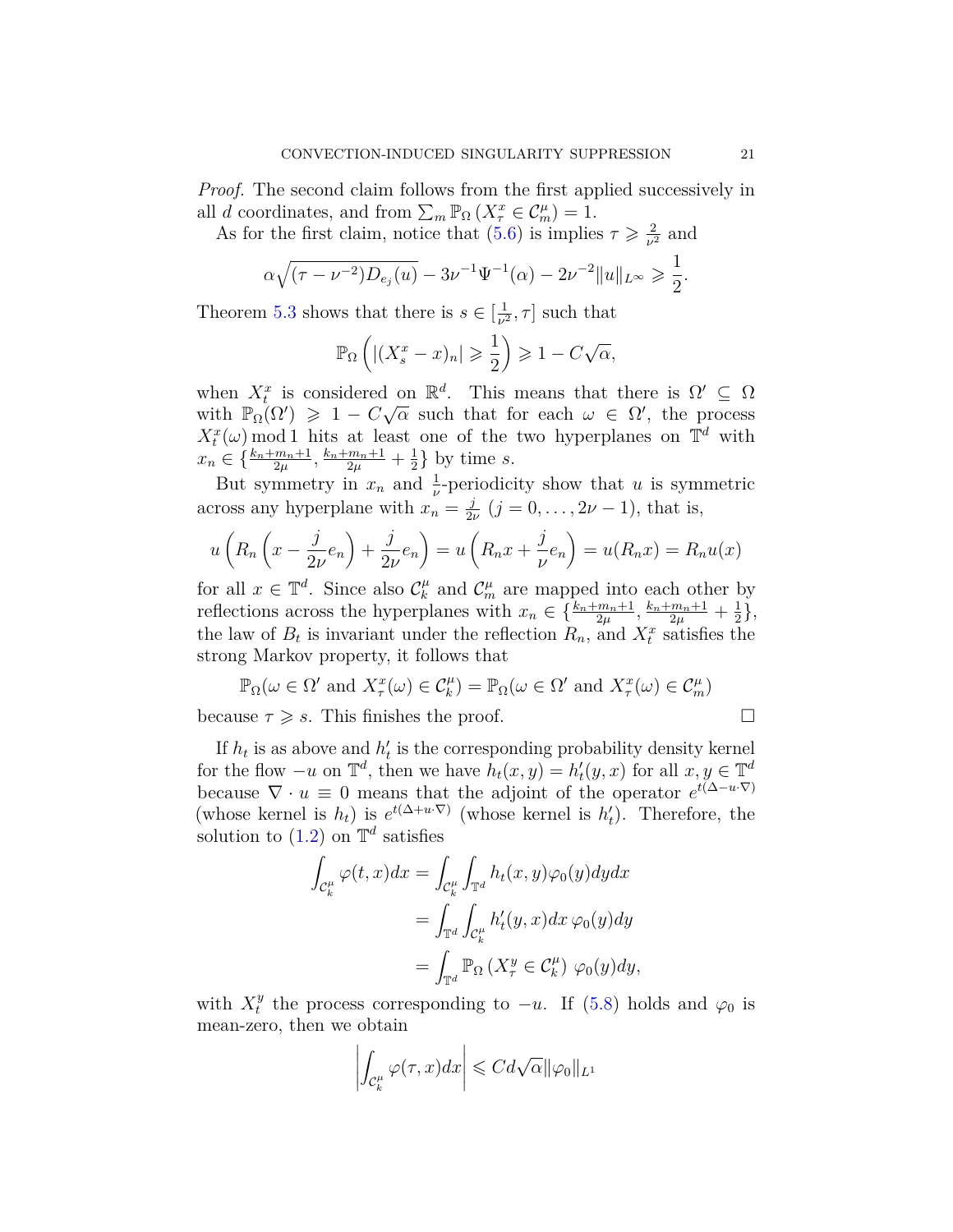*Proof.* The second claim follows from the first applied successively in all *d* coordinates, and from  $\sum_{m} \mathbb{P}_{\Omega} (X_{\tau}^{x} \in C_{m}^{\mu}) = 1$ .

As for the first claim, notice that  $(5.6)$  is implies  $\tau \geq \frac{2}{\nu^2}$  $\frac{2}{ν^2}$  and

$$
\alpha \sqrt{(\tau - \nu^{-2})D_{e_j}(u)} - 3\nu^{-1}\Psi^{-1}(\alpha) - 2\nu^{-2}||u||_{L^{\infty}} \geq \frac{1}{2}.
$$

Theorem [5.3](#page-18-0) shows that there is  $s \in \left[\frac{1}{n^2}\right]$  $\left[\frac{1}{\nu^2}, \tau\right]$  such that

$$
\mathbb{P}_{\Omega}\left(\left|\left(X_s^x - x\right)_n\right| \geqslant \frac{1}{2}\right) \geqslant 1 - C\sqrt{\alpha},
$$

when  $X_t^x$  is considered on  $\mathbb{R}^d$ . This means that there is  $\Omega' \subseteq \Omega$ with  $\mathbb{P}_{\Omega}(\Omega') \geq 1 - C\sqrt{\alpha}$  such that for each  $\omega \in \Omega'$ , the process  $X_t^x(\omega)$  mod 1 hits at least one of the two hyperplanes on  $\mathbb{T}^d$  with  $x_n \in \{\frac{k_n+m_n+1}{2\mu}, \frac{k_n+m_n+1}{2\mu} + \frac{1}{2}\}$  $\frac{1}{2}$  by time *s*.

But symmetry in  $x_n$  and  $\frac{1}{\nu}$ -periodicity show that *u* is symmetric across any hyperplane with  $x_n = \frac{j}{2n}$  $\frac{j}{2\nu}$   $(j = 0, \ldots, 2\nu - 1)$ , that is,

$$
u\left(R_n\left(x-\frac{j}{2\nu}e_n\right)+\frac{j}{2\nu}e_n\right)=u\left(R_nx+\frac{j}{\nu}e_n\right)=u(R_nx)=R_nu(x)
$$

for all  $x \in \mathbb{T}^d$ . Since also  $\mathcal{C}_k^{\mu}$  $\mu$ <sup>*k*</sup> and  $\mathcal{C}_m^{\mu}$  are mapped into each other by reflections across the hyperplanes with  $x_n \in \{\frac{k_n + m_n + 1}{2\mu}, \frac{k_n + m_n + 1}{2\mu} + \frac{1}{2}\}$  $\frac{1}{2}\},$ the law of  $B_t$  is invariant under the reflection  $R_n$ , and  $X_t^x$  satisfies the strong Markov property, it follows that

 $\mathbb{P}_{\Omega}(\omega \in \Omega' \text{ and } X_{\tau}^{\mathcal{X}}(\omega) \in \mathcal{C}_{k}^{\mu}) = \mathbb{P}_{\Omega}(\omega \in \Omega' \text{ and } X_{\tau}^{\mathcal{X}}(\omega) \in \mathcal{C}_{m}^{\mu})$ 

because  $\tau \geqslant s$ . This finishes the proof.

If  $h_t$  is as above and  $h'_t$  is the corresponding probability density kernel for the flow  $-u$  on  $\mathbb{T}^d$ , then we have  $h_t(x, y) = h'_t(y, x)$  for all  $x, y \in \mathbb{T}^d$ because  $\nabla \cdot u \equiv 0$  means that the adjoint of the operator  $e^{t(\Delta - u \cdot \nabla)}$ (whose kernel is  $h_t$ ) is  $e^{t(\Delta + u \cdot \nabla)}$  (whose kernel is  $h'_t$ ). Therefore, the solution to  $(1.2)$  on  $\mathbb{T}^d$  satisfies

$$
\int_{\mathcal{C}_k^{\mu}} \varphi(t, x) dx = \int_{\mathcal{C}_k^{\mu}} \int_{\mathbb{T}^d} h_t(x, y) \varphi_0(y) dy dx
$$

$$
= \int_{\mathbb{T}^d} \int_{\mathcal{C}_k^{\mu}} h_t'(y, x) dx \, \varphi_0(y) dy
$$

$$
= \int_{\mathbb{T}^d} \mathbb{P}_{\Omega} \left( X_t^y \in \mathcal{C}_k^{\mu} \right) \, \varphi_0(y) dy,
$$

with  $X_t^y$ <sup>*y*</sup> the process corresponding to  $-u$ . If [\(5.8\)](#page-19-2) holds and  $\varphi_0$  is mean-zero, then we obtain

$$
\left| \int_{\mathcal{C}_k^{\mu}} \varphi(\tau, x) dx \right| \leqslant C d \sqrt{\alpha} ||\varphi_0||_{L^1}
$$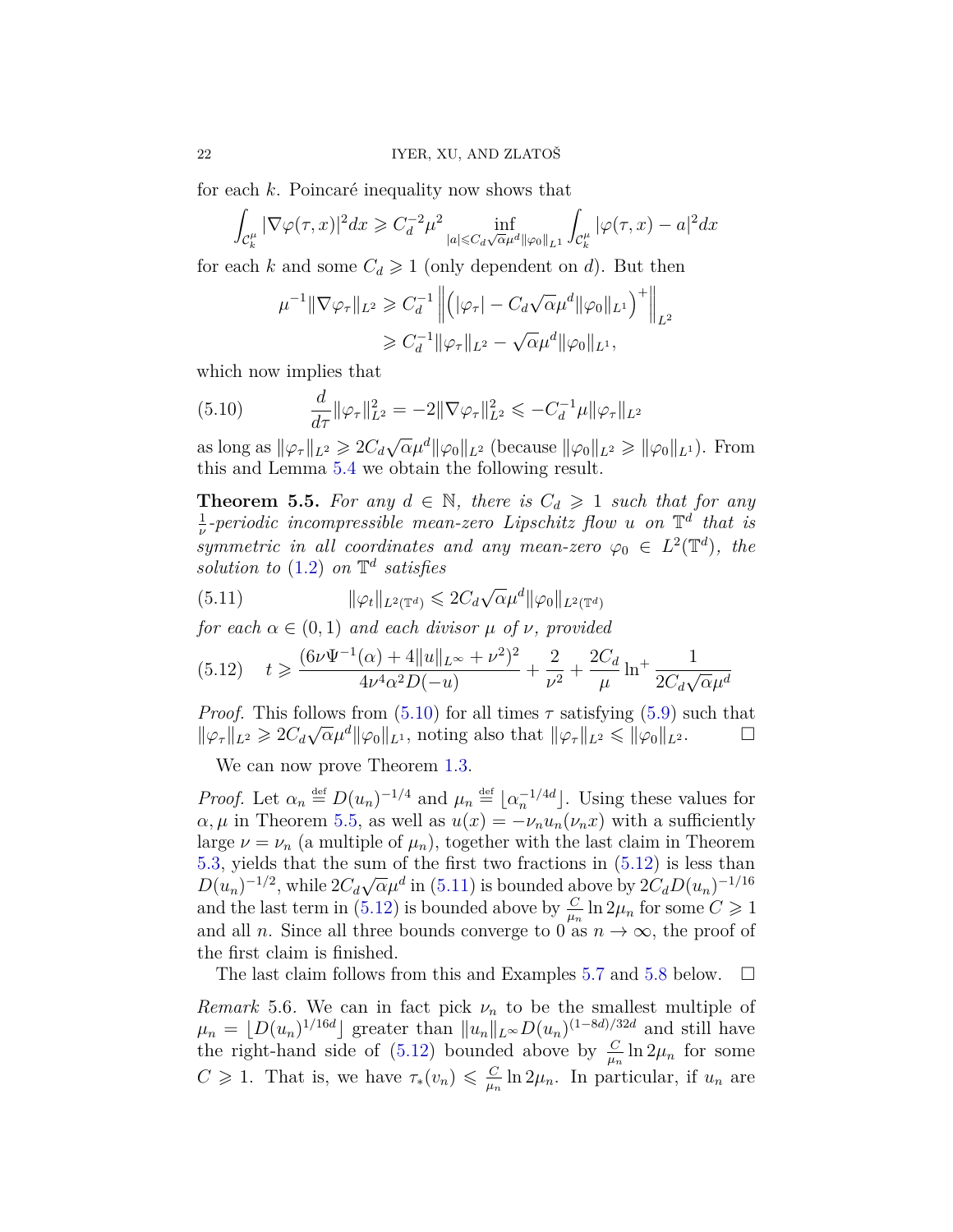for each *k*. Poincaré inequality now shows that

$$
\int_{\mathcal{C}_k^{\mu}} |\nabla \varphi(\tau, x)|^2 dx \geq C_d^{-2} \mu^2 \inf_{|a| \leq C_d \sqrt{\alpha} \mu^d ||\varphi_0||_{L^1}} \int_{\mathcal{C}_k^{\mu}} |\varphi(\tau, x) - a|^2 dx
$$

for each *k* and some  $C_d \geq 1$  (only dependent on *d*). But then

$$
\mu^{-1} \|\nabla \varphi_{\tau}\|_{L^2} \geq C_d^{-1} \left\| \left( |\varphi_{\tau}| - C_d \sqrt{\alpha} \mu^d ||\varphi_0||_{L^1} \right)^+ \right\|_{L^2}
$$
  

$$
\geq C_d^{-1} \|\varphi_{\tau}\|_{L^2} - \sqrt{\alpha} \mu^d \|\varphi_0\|_{L^1},
$$

which now implies that

<span id="page-21-1"></span>(5.10) 
$$
\frac{d}{d\tau} \|\varphi_{\tau}\|_{L^2}^2 = -2\|\nabla \varphi_{\tau}\|_{L^2}^2 \leqslant -C_d^{-1} \mu \|\varphi_{\tau}\|_{L^2}
$$

as long as  $\|\varphi_\tau\|_{L^2} \geqslant 2C_d\sqrt{\alpha}\mu^d \|\varphi_0\|_{L^2}$  (because  $\|\varphi_0\|_{L^2} \geqslant \|\varphi_0\|_{L^1}$ ). From this and Lemma [5.4](#page-19-3) we obtain the following result.

<span id="page-21-2"></span>**Theorem 5.5.** For any  $d \in \mathbb{N}$ , there is  $C_d \geq 1$  such that for any 1 *ν -periodic incompressible mean-zero Lipschitz flow u on* T *d that is symmetric in all coordinates and any mean-zero*  $\varphi_0 \in L^2(\mathbb{T}^d)$ , the *solution to* [\(1.2\)](#page-2-0) *on* T *d satisfies*

<span id="page-21-4"></span>(5.11) 
$$
\|\varphi_t\|_{L^2(\mathbb{T}^d)} \leq 2C_d\sqrt{\alpha}\mu^d \|\varphi_0\|_{L^2(\mathbb{T}^d)}
$$

*for each*  $\alpha \in (0,1)$  *and each divisor*  $\mu$  *of*  $\nu$ *, provided* 

<span id="page-21-3"></span>
$$
(5.12) \t t \geqslant \frac{(6\nu\Psi^{-1}(\alpha) + 4\|u\|_{L^{\infty}} + \nu^2)^2}{4\nu^4\alpha^2 D(-u)} + \frac{2}{\nu^2} + \frac{2C_d}{\mu} \ln^+ \frac{1}{2C_d\sqrt{\alpha}\mu^d}
$$

*Proof.* This follows from  $(5.10)$  for all times  $\tau$  satisfying  $(5.9)$  such that  $\|\varphi_{\tau}\|_{L^2} \geq 2C_d\sqrt{\alpha}\mu^d \|\varphi_0\|_{L^1}$ , noting also that  $\|\varphi_{\tau}\|_{L^2} \leq \|\varphi_0\|_{L^2}$ .

We can now prove Theorem [1.3.](#page-4-0)

*Proof.* Let  $\alpha_n \stackrel{\text{def}}{=} D(u_n)^{-1/4}$  and  $\mu_n \stackrel{\text{def}}{=} \lfloor \alpha_n^{-1/4d} \rfloor$ . Using these values for  $\alpha, \mu$  in Theorem [5.5,](#page-21-2) as well as  $u(x) = -\nu_n u_n(\nu_n x)$  with a sufficiently large  $\nu = \nu_n$  (a multiple of  $\mu_n$ ), together with the last claim in Theorem [5.3,](#page-18-0) yields that the sum of the first two fractions in  $(5.12)$  is less than  $D(u_n)^{-1/2}$ , while  $2C_d\sqrt{\alpha}\mu^d$  in [\(5.11\)](#page-21-4) is bounded above by  $2C_dD(u_n)^{-1/16}$ and the last term in [\(5.12\)](#page-21-3) is bounded above by  $\frac{C}{\mu_n} \ln 2\mu_n$  for some  $C \geq 1$ and all *n*. Since all three bounds converge to 0 as  $n \to \infty$ , the proof of the first claim is finished.

The last claim follows from this and Examples [5.7](#page-22-7) and [5.8](#page-22-8) below.  $\Box$ 

<span id="page-21-0"></span>*Remark* 5.6. We can in fact pick  $\nu_n$  to be the smallest multiple of  $\mu_n = \lfloor D(u_n)^{1/16d} \rfloor$  greater than  $||u_n||_{L^\infty}D(u_n)^{(1-8d)/32d}$  and still have the right-hand side of [\(5.12\)](#page-21-3) bounded above by  $\frac{C}{\mu_n} \ln 2\mu_n$  for some  $C \geq 1$ . That is, we have  $\tau_*(v_n) \leq \frac{C}{\mu}$  $\frac{C}{\mu_n} \ln 2\mu_n$ . In particular, if  $u_n$  are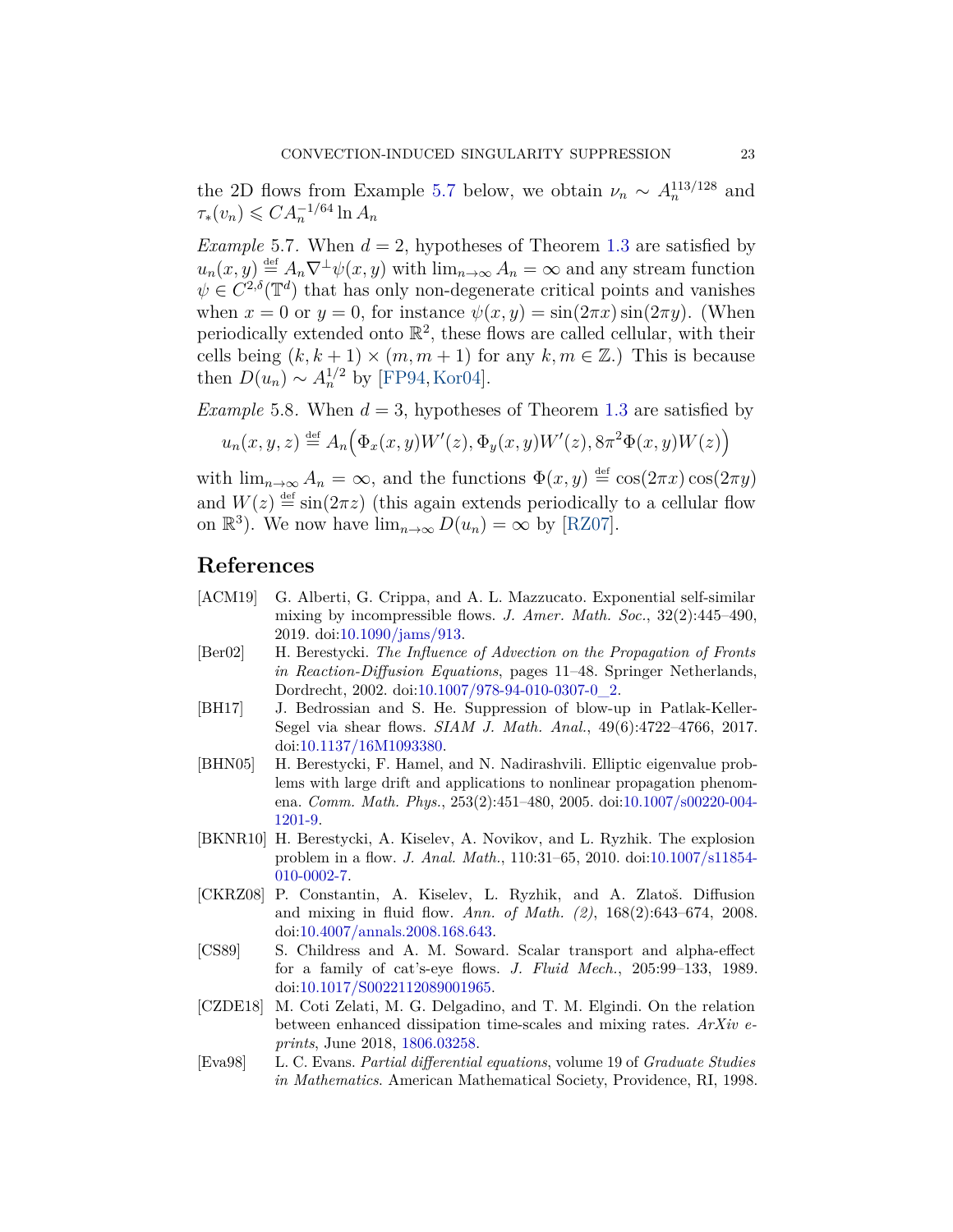the 2D flows from Example [5.7](#page-22-7) below, we obtain  $\nu_n \sim A_n^{113/128}$  and  $\tau_*(v_n) \leqslant C A_n^{-1/64} \ln A_n$ 

<span id="page-22-7"></span>*Example* 5.7. When  $d = 2$ , hypotheses of Theorem [1.3](#page-4-0) are satisfied by  $u_n(x, y) \stackrel{\text{def}}{=} A_n \nabla^{\perp} \psi(x, y)$  with  $\lim_{n \to \infty} A_n = \infty$  and any stream function  $\psi \in C^{2,\delta}(\mathbb{T}^d)$  that has only non-degenerate critical points and vanishes when  $x = 0$  or  $y = 0$ , for instance  $\psi(x, y) = \sin(2\pi x) \sin(2\pi y)$ . (When periodically extended onto  $\mathbb{R}^2$ , these flows are called cellular, with their cells being  $(k, k + 1) \times (m, m + 1)$  for any  $k, m \in \mathbb{Z}$ .) This is because then  $D(u_n) \sim A_n^{1/2}$  by [\[FP94,](#page-23-6) [Kor04\]](#page-23-7).

<span id="page-22-8"></span>*Example* 5.8. When  $d = 3$ , hypotheses of Theorem [1.3](#page-4-0) are satisfied by

$$
u_n(x, y, z) \stackrel{\text{def}}{=} A_n(\Phi_x(x, y)W'(z), \Phi_y(x, y)W'(z), 8\pi^2 \Phi(x, y)W(z))
$$

with  $\lim_{n\to\infty} A_n = \infty$ , and the functions  $\Phi(x, y) \stackrel{\text{def}}{=} \cos(2\pi x) \cos(2\pi y)$ and  $W(z) \stackrel{\text{def}}{=} \sin(2\pi z)$  (this again extends periodically to a cellular flow on  $\mathbb{R}^3$ ). We now have  $\lim_{n\to\infty} D(u_n) = \infty$  by [\[RZ07\]](#page-24-4).

### **References**

- <span id="page-22-5"></span>[ACM19] G. Alberti, G. Crippa, and A. L. Mazzucato. Exponential self-similar mixing by incompressible flows. *J. Amer. Math. Soc.*, 32(2):445–490, 2019. doi[:10.1090/jams/913.](https://doi.org/10.1090/jams/913)
- <span id="page-22-10"></span>[Ber02] H. Berestycki. *The Influence of Advection on the Propagation of Fronts in Reaction-Diffusion Equations*, pages 11–48. Springer Netherlands, Dordrecht, 2002. doi[:10.1007/978-94-010-0307-0\\_2.](https://doi.org/10.1007/978-94-010-0307-0_2)
- <span id="page-22-1"></span>[BH17] J. Bedrossian and S. He. Suppression of blow-up in Patlak-Keller-Segel via shear flows. *SIAM J. Math. Anal.*, 49(6):4722–4766, 2017. doi[:10.1137/16M1093380.](https://doi.org/10.1137/16M1093380)
- <span id="page-22-4"></span>[BHN05] H. Berestycki, F. Hamel, and N. Nadirashvili. Elliptic eigenvalue problems with large drift and applications to nonlinear propagation phenomena. *Comm. Math. Phys.*, 253(2):451–480, 2005. doi[:10.1007/s00220-004-](https://doi.org/10.1007/s00220-004-1201-9) [1201-9.](https://doi.org/10.1007/s00220-004-1201-9)
- <span id="page-22-0"></span>[BKNR10] H. Berestycki, A. Kiselev, A. Novikov, and L. Ryzhik. The explosion problem in a flow. *J. Anal. Math.*, 110:31–65, 2010. doi[:10.1007/s11854-](https://doi.org/10.1007/s11854-010-0002-7) [010-0002-7.](https://doi.org/10.1007/s11854-010-0002-7)
- <span id="page-22-2"></span>[CKRZ08] P. Constantin, A. Kiselev, L. Ryzhik, and A. Zlatoš. Diffusion and mixing in fluid flow. *Ann. of Math. (2)*, 168(2):643–674, 2008. doi[:10.4007/annals.2008.168.643.](https://doi.org/10.4007/annals.2008.168.643)
- <span id="page-22-6"></span>[CS89] S. Childress and A. M. Soward. Scalar transport and alpha-effect for a family of cat's-eye flows. *J. Fluid Mech.*, 205:99–133, 1989. doi[:10.1017/S0022112089001965.](https://doi.org/10.1017/S0022112089001965)
- <span id="page-22-3"></span>[CZDE18] M. Coti Zelati, M. G. Delgadino, and T. M. Elgindi. On the relation between enhanced dissipation time-scales and mixing rates. *ArXiv eprints*, June 2018, [1806.03258.](http://arxiv.org/abs/1806.03258)
- <span id="page-22-9"></span>[Eva98] L. C. Evans. *Partial differential equations*, volume 19 of *Graduate Studies in Mathematics*. American Mathematical Society, Providence, RI, 1998.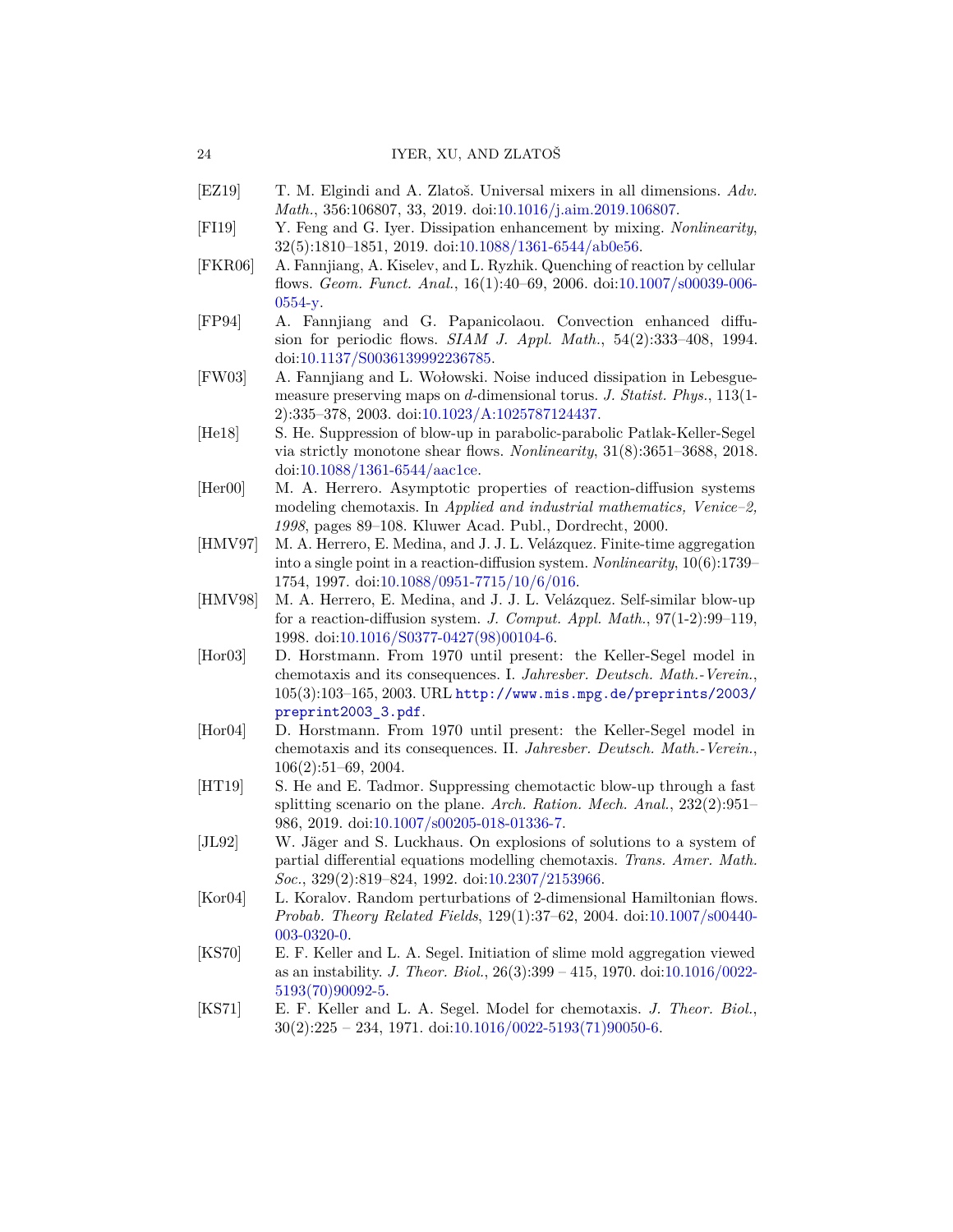- <span id="page-23-5"></span>[EZ19] T. M. Elgindi and A. Zlatoš. Universal mixers in all dimensions. *Adv. Math.*, 356:106807, 33, 2019. doi[:10.1016/j.aim.2019.106807.](https://doi.org/10.1016/j.aim.2019.106807)
- <span id="page-23-3"></span>[FI19] Y. Feng and G. Iyer. Dissipation enhancement by mixing. *Nonlinearity*, 32(5):1810–1851, 2019. doi[:10.1088/1361-6544/ab0e56.](https://doi.org/10.1088/1361-6544/ab0e56)
- <span id="page-23-0"></span>[FKR06] A. Fannjiang, A. Kiselev, and L. Ryzhik. Quenching of reaction by cellular flows. *Geom. Funct. Anal.*, 16(1):40–69, 2006. doi[:10.1007/s00039-006-](https://doi.org/10.1007/s00039-006-0554-y) [0554-y.](https://doi.org/10.1007/s00039-006-0554-y)
- <span id="page-23-6"></span>[FP94] A. Fannjiang and G. Papanicolaou. Convection enhanced diffusion for periodic flows. *SIAM J. Appl. Math.*, 54(2):333–408, 1994. doi[:10.1137/S0036139992236785.](https://doi.org/10.1137/S0036139992236785)
- <span id="page-23-4"></span>[FW03] A. Fannjiang and L. Wołowski. Noise induced dissipation in Lebesguemeasure preserving maps on *d*-dimensional torus. *J. Statist. Phys.*, 113(1- 2):335–378, 2003. doi[:10.1023/A:1025787124437.](https://doi.org/10.1023/A:1025787124437)
- <span id="page-23-1"></span>[He18] S. He. Suppression of blow-up in parabolic-parabolic Patlak-Keller-Segel via strictly monotone shear flows. *Nonlinearity*, 31(8):3651–3688, 2018. doi[:10.1088/1361-6544/aac1ce.](https://doi.org/10.1088/1361-6544/aac1ce)
- <span id="page-23-15"></span>[Her00] M. A. Herrero. Asymptotic properties of reaction-diffusion systems modeling chemotaxis. In *Applied and industrial mathematics, Venice–2, 1998*, pages 89–108. Kluwer Acad. Publ., Dordrecht, 2000.
- <span id="page-23-13"></span>[HMV97] M. A. Herrero, E. Medina, and J. J. L. Velázquez. Finite-time aggregation into a single point in a reaction-diffusion system. *Nonlinearity*, 10(6):1739– 1754, 1997. doi[:10.1088/0951-7715/10/6/016.](https://doi.org/10.1088/0951-7715/10/6/016)
- <span id="page-23-14"></span>[HMV98] M. A. Herrero, E. Medina, and J. J. L. Velázquez. Self-similar blow-up for a reaction-diffusion system. *J. Comput. Appl. Math.*, 97(1-2):99–119, 1998. doi[:10.1016/S0377-0427\(98\)00104-6.](https://doi.org/10.1016/S0377-0427(98)00104-6)
- <span id="page-23-11"></span>[Hor03] D. Horstmann. From 1970 until present: the Keller-Segel model in chemotaxis and its consequences. I. *Jahresber. Deutsch. Math.-Verein.*, 105(3):103–165, 2003. URL [http://www.mis.mpg.de/preprints/2003/](http://www.mis.mpg.de/preprints/2003/preprint2003_3.pdf) [preprint2003\\_3.pdf](http://www.mis.mpg.de/preprints/2003/preprint2003_3.pdf).
- <span id="page-23-12"></span>[Hor04] D. Horstmann. From 1970 until present: the Keller-Segel model in chemotaxis and its consequences. II. *Jahresber. Deutsch. Math.-Verein.*, 106(2):51–69, 2004.
- <span id="page-23-2"></span>[HT19] S. He and E. Tadmor. Suppressing chemotactic blow-up through a fast splitting scenario on the plane. *Arch. Ration. Mech. Anal.*, 232(2):951– 986, 2019. doi[:10.1007/s00205-018-01336-7.](https://doi.org/10.1007/s00205-018-01336-7)
- <span id="page-23-10"></span>[JL92] W. Jäger and S. Luckhaus. On explosions of solutions to a system of partial differential equations modelling chemotaxis. *Trans. Amer. Math. Soc.*, 329(2):819–824, 1992. doi[:10.2307/2153966.](https://doi.org/10.2307/2153966)
- <span id="page-23-7"></span>[Kor04] L. Koralov. Random perturbations of 2-dimensional Hamiltonian flows. *Probab. Theory Related Fields*, 129(1):37–62, 2004. doi[:10.1007/s00440-](https://doi.org/10.1007/s00440-003-0320-0) [003-0320-0.](https://doi.org/10.1007/s00440-003-0320-0)
- <span id="page-23-8"></span>[KS70] E. F. Keller and L. A. Segel. Initiation of slime mold aggregation viewed as an instability. *J. Theor. Biol.*, 26(3):399 – 415, 1970. doi[:10.1016/0022-](https://doi.org/10.1016/0022-5193(70)90092-5) [5193\(70\)90092-5.](https://doi.org/10.1016/0022-5193(70)90092-5)
- <span id="page-23-9"></span>[KS71] E. F. Keller and L. A. Segel. Model for chemotaxis. *J. Theor. Biol.*,  $30(2):225 - 234, 1971.$  doi: $10.1016/0022 - 5193(71)90050 - 6.$